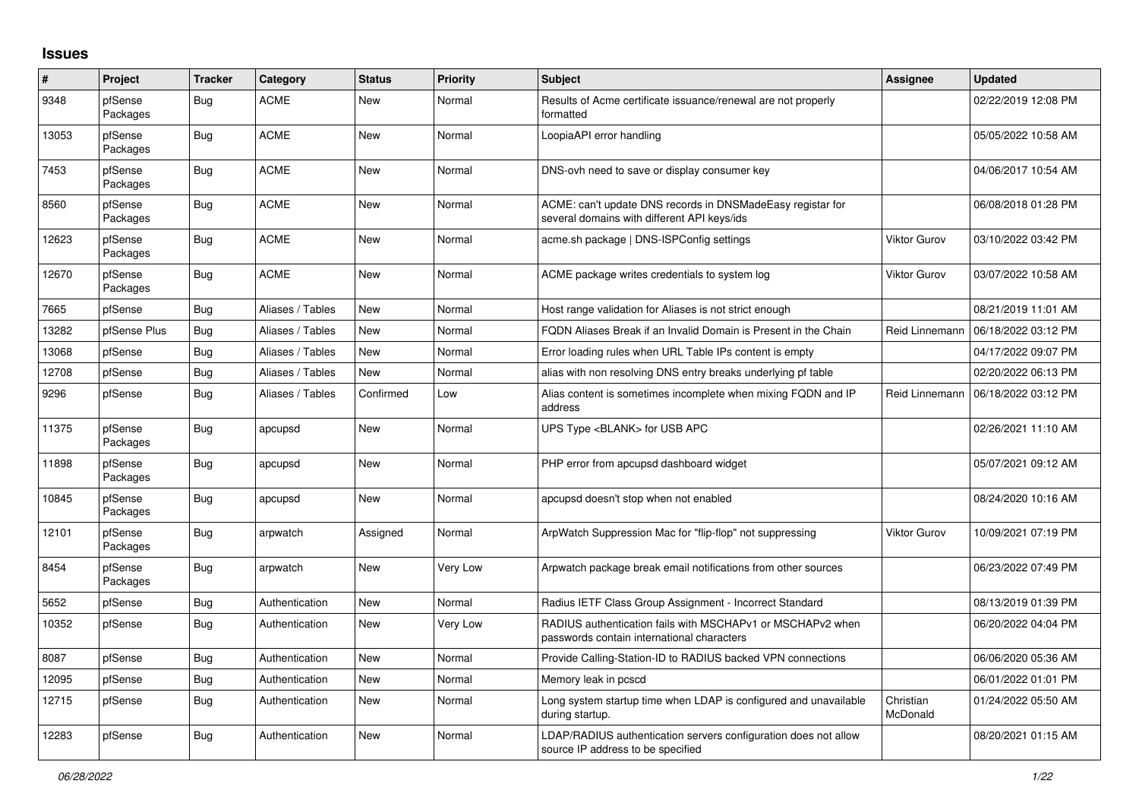## **Issues**

| #     | Project             | <b>Tracker</b> | Category         | <b>Status</b> | Priority | <b>Subject</b>                                                                                            | Assignee              | <b>Updated</b>      |
|-------|---------------------|----------------|------------------|---------------|----------|-----------------------------------------------------------------------------------------------------------|-----------------------|---------------------|
| 9348  | pfSense<br>Packages | <b>Bug</b>     | <b>ACME</b>      | New           | Normal   | Results of Acme certificate issuance/renewal are not properly<br>formatted                                |                       | 02/22/2019 12:08 PM |
| 13053 | pfSense<br>Packages | <b>Bug</b>     | <b>ACME</b>      | New           | Normal   | LoopiaAPI error handling                                                                                  |                       | 05/05/2022 10:58 AM |
| 7453  | pfSense<br>Packages | <b>Bug</b>     | <b>ACME</b>      | New           | Normal   | DNS-ovh need to save or display consumer key                                                              |                       | 04/06/2017 10:54 AM |
| 8560  | pfSense<br>Packages | Bug            | <b>ACME</b>      | New           | Normal   | ACME: can't update DNS records in DNSMadeEasy registar for<br>several domains with different API keys/ids |                       | 06/08/2018 01:28 PM |
| 12623 | pfSense<br>Packages | <b>Bug</b>     | <b>ACME</b>      | New           | Normal   | acme.sh package   DNS-ISPConfig settings                                                                  | Viktor Gurov          | 03/10/2022 03:42 PM |
| 12670 | pfSense<br>Packages | <b>Bug</b>     | <b>ACME</b>      | <b>New</b>    | Normal   | ACME package writes credentials to system log                                                             | <b>Viktor Gurov</b>   | 03/07/2022 10:58 AM |
| 7665  | pfSense             | Bug            | Aliases / Tables | New           | Normal   | Host range validation for Aliases is not strict enough                                                    |                       | 08/21/2019 11:01 AM |
| 13282 | pfSense Plus        | <b>Bug</b>     | Aliases / Tables | <b>New</b>    | Normal   | FQDN Aliases Break if an Invalid Domain is Present in the Chain                                           | Reid Linnemann        | 06/18/2022 03:12 PM |
| 13068 | pfSense             | Bug            | Aliases / Tables | New           | Normal   | Error loading rules when URL Table IPs content is empty                                                   |                       | 04/17/2022 09:07 PM |
| 12708 | pfSense             | <b>Bug</b>     | Aliases / Tables | New           | Normal   | alias with non resolving DNS entry breaks underlying pf table                                             |                       | 02/20/2022 06:13 PM |
| 9296  | pfSense             | Bug            | Aliases / Tables | Confirmed     | Low      | Alias content is sometimes incomplete when mixing FQDN and IP<br>address                                  | Reid Linnemann        | 06/18/2022 03:12 PM |
| 11375 | pfSense<br>Packages | <b>Bug</b>     | apcupsd          | <b>New</b>    | Normal   | UPS Type <blank> for USB APC</blank>                                                                      |                       | 02/26/2021 11:10 AM |
| 11898 | pfSense<br>Packages | <b>Bug</b>     | apcupsd          | <b>New</b>    | Normal   | PHP error from apcupsd dashboard widget                                                                   |                       | 05/07/2021 09:12 AM |
| 10845 | pfSense<br>Packages | <b>Bug</b>     | apcupsd          | <b>New</b>    | Normal   | apcupsd doesn't stop when not enabled                                                                     |                       | 08/24/2020 10:16 AM |
| 12101 | pfSense<br>Packages | Bug            | arpwatch         | Assigned      | Normal   | ArpWatch Suppression Mac for "flip-flop" not suppressing                                                  | <b>Viktor Gurov</b>   | 10/09/2021 07:19 PM |
| 8454  | pfSense<br>Packages | <b>Bug</b>     | arpwatch         | New           | Very Low | Arpwatch package break email notifications from other sources                                             |                       | 06/23/2022 07:49 PM |
| 5652  | pfSense             | <b>Bug</b>     | Authentication   | New           | Normal   | Radius IETF Class Group Assignment - Incorrect Standard                                                   |                       | 08/13/2019 01:39 PM |
| 10352 | pfSense             | <b>Bug</b>     | Authentication   | New           | Very Low | RADIUS authentication fails with MSCHAPv1 or MSCHAPv2 when<br>passwords contain international characters  |                       | 06/20/2022 04:04 PM |
| 8087  | pfSense             | <b>Bug</b>     | Authentication   | New           | Normal   | Provide Calling-Station-ID to RADIUS backed VPN connections                                               |                       | 06/06/2020 05:36 AM |
| 12095 | pfSense             | Bug            | Authentication   | <b>New</b>    | Normal   | Memory leak in pcscd                                                                                      |                       | 06/01/2022 01:01 PM |
| 12715 | pfSense             | Bug            | Authentication   | New           | Normal   | Long system startup time when LDAP is configured and unavailable<br>during startup.                       | Christian<br>McDonald | 01/24/2022 05:50 AM |
| 12283 | pfSense             | <b>Bug</b>     | Authentication   | <b>New</b>    | Normal   | LDAP/RADIUS authentication servers configuration does not allow<br>source IP address to be specified      |                       | 08/20/2021 01:15 AM |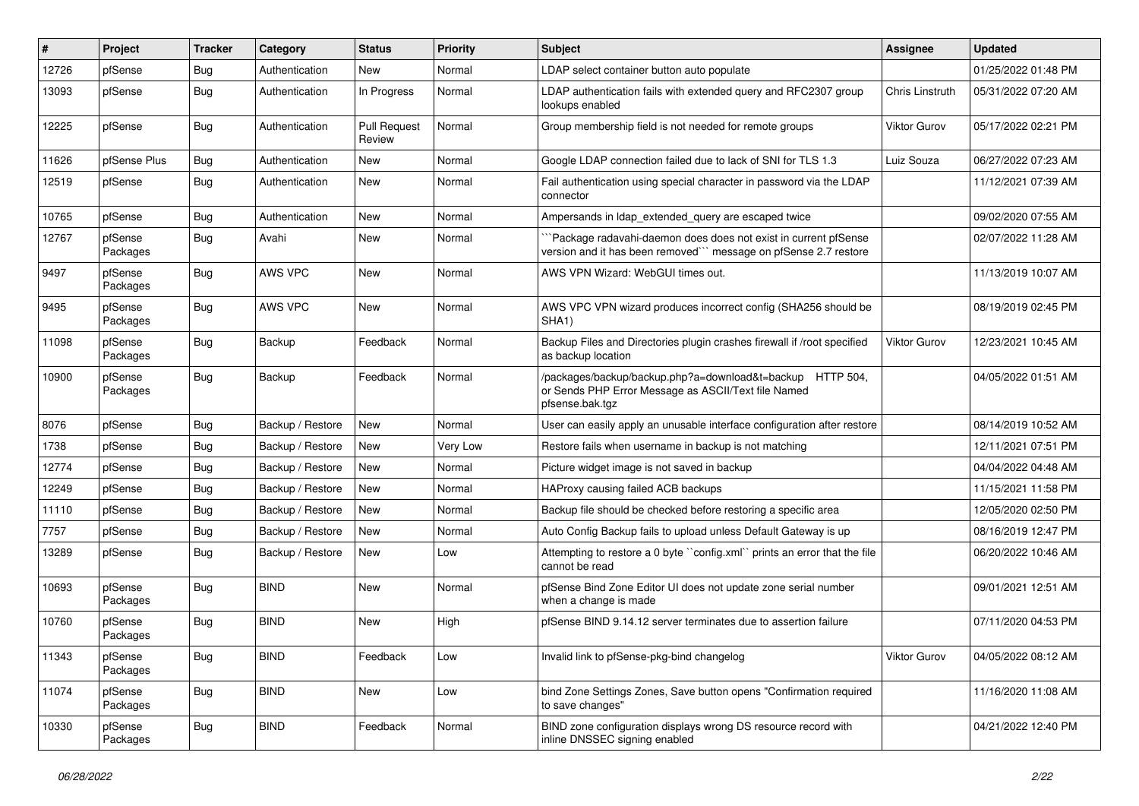| $\sharp$ | Project             | <b>Tracker</b> | Category         | <b>Status</b>                 | <b>Priority</b> | Subject                                                                                                                             | <b>Assignee</b>     | <b>Updated</b>      |
|----------|---------------------|----------------|------------------|-------------------------------|-----------------|-------------------------------------------------------------------------------------------------------------------------------------|---------------------|---------------------|
| 12726    | pfSense             | <b>Bug</b>     | Authentication   | New                           | Normal          | LDAP select container button auto populate                                                                                          |                     | 01/25/2022 01:48 PM |
| 13093    | pfSense             | <b>Bug</b>     | Authentication   | In Progress                   | Normal          | LDAP authentication fails with extended query and RFC2307 group<br>lookups enabled                                                  | Chris Linstruth     | 05/31/2022 07:20 AM |
| 12225    | pfSense             | Bug            | Authentication   | <b>Pull Request</b><br>Review | Normal          | Group membership field is not needed for remote groups                                                                              | <b>Viktor Gurov</b> | 05/17/2022 02:21 PM |
| 11626    | pfSense Plus        | Bug            | Authentication   | New                           | Normal          | Google LDAP connection failed due to lack of SNI for TLS 1.3                                                                        | Luiz Souza          | 06/27/2022 07:23 AM |
| 12519    | pfSense             | <b>Bug</b>     | Authentication   | New                           | Normal          | Fail authentication using special character in password via the LDAP<br>connector                                                   |                     | 11/12/2021 07:39 AM |
| 10765    | pfSense             | Bug            | Authentication   | <b>New</b>                    | Normal          | Ampersands in Idap extended query are escaped twice                                                                                 |                     | 09/02/2020 07:55 AM |
| 12767    | pfSense<br>Packages | <b>Bug</b>     | Avahi            | New                           | Normal          | Package radavahi-daemon does does not exist in current pfSense<br>version and it has been removed"" message on pfSense 2.7 restore  |                     | 02/07/2022 11:28 AM |
| 9497     | pfSense<br>Packages | Bug            | AWS VPC          | New                           | Normal          | AWS VPN Wizard: WebGUI times out.                                                                                                   |                     | 11/13/2019 10:07 AM |
| 9495     | pfSense<br>Packages | Bug            | AWS VPC          | New                           | Normal          | AWS VPC VPN wizard produces incorrect config (SHA256 should be<br>SHA <sub>1</sub> )                                                |                     | 08/19/2019 02:45 PM |
| 11098    | pfSense<br>Packages | <b>Bug</b>     | Backup           | Feedback                      | Normal          | Backup Files and Directories plugin crashes firewall if /root specified<br>as backup location                                       | <b>Viktor Gurov</b> | 12/23/2021 10:45 AM |
| 10900    | pfSense<br>Packages | <b>Bug</b>     | Backup           | Feedback                      | Normal          | /packages/backup/backup.php?a=download&t=backup HTTP 504,<br>or Sends PHP Error Message as ASCII/Text file Named<br>pfsense.bak.tgz |                     | 04/05/2022 01:51 AM |
| 8076     | pfSense             | <b>Bug</b>     | Backup / Restore | New                           | Normal          | User can easily apply an unusable interface configuration after restore                                                             |                     | 08/14/2019 10:52 AM |
| 1738     | pfSense             | <b>Bug</b>     | Backup / Restore | New                           | Very Low        | Restore fails when username in backup is not matching                                                                               |                     | 12/11/2021 07:51 PM |
| 12774    | pfSense             | Bug            | Backup / Restore | New                           | Normal          | Picture widget image is not saved in backup                                                                                         |                     | 04/04/2022 04:48 AM |
| 12249    | pfSense             | Bug            | Backup / Restore | <b>New</b>                    | Normal          | HAProxy causing failed ACB backups                                                                                                  |                     | 11/15/2021 11:58 PM |
| 11110    | pfSense             | Bug            | Backup / Restore | New                           | Normal          | Backup file should be checked before restoring a specific area                                                                      |                     | 12/05/2020 02:50 PM |
| 7757     | pfSense             | <b>Bug</b>     | Backup / Restore | New                           | Normal          | Auto Config Backup fails to upload unless Default Gateway is up                                                                     |                     | 08/16/2019 12:47 PM |
| 13289    | pfSense             | <b>Bug</b>     | Backup / Restore | New                           | Low             | Attempting to restore a 0 byte "config.xml" prints an error that the file<br>cannot be read                                         |                     | 06/20/2022 10:46 AM |
| 10693    | pfSense<br>Packages | <b>Bug</b>     | <b>BIND</b>      | New                           | Normal          | pfSense Bind Zone Editor UI does not update zone serial number<br>when a change is made                                             |                     | 09/01/2021 12:51 AM |
| 10760    | pfSense<br>Packages | <b>Bug</b>     | <b>BIND</b>      | New                           | High            | pfSense BIND 9.14.12 server terminates due to assertion failure                                                                     |                     | 07/11/2020 04:53 PM |
| 11343    | pfSense<br>Packages | <b>Bug</b>     | <b>BIND</b>      | Feedback                      | Low             | Invalid link to pfSense-pkg-bind changelog                                                                                          | Viktor Gurov        | 04/05/2022 08:12 AM |
| 11074    | pfSense<br>Packages | <b>Bug</b>     | <b>BIND</b>      | New                           | Low             | bind Zone Settings Zones, Save button opens "Confirmation required<br>to save changes"                                              |                     | 11/16/2020 11:08 AM |
| 10330    | pfSense<br>Packages | <b>Bug</b>     | <b>BIND</b>      | Feedback                      | Normal          | BIND zone configuration displays wrong DS resource record with<br>inline DNSSEC signing enabled                                     |                     | 04/21/2022 12:40 PM |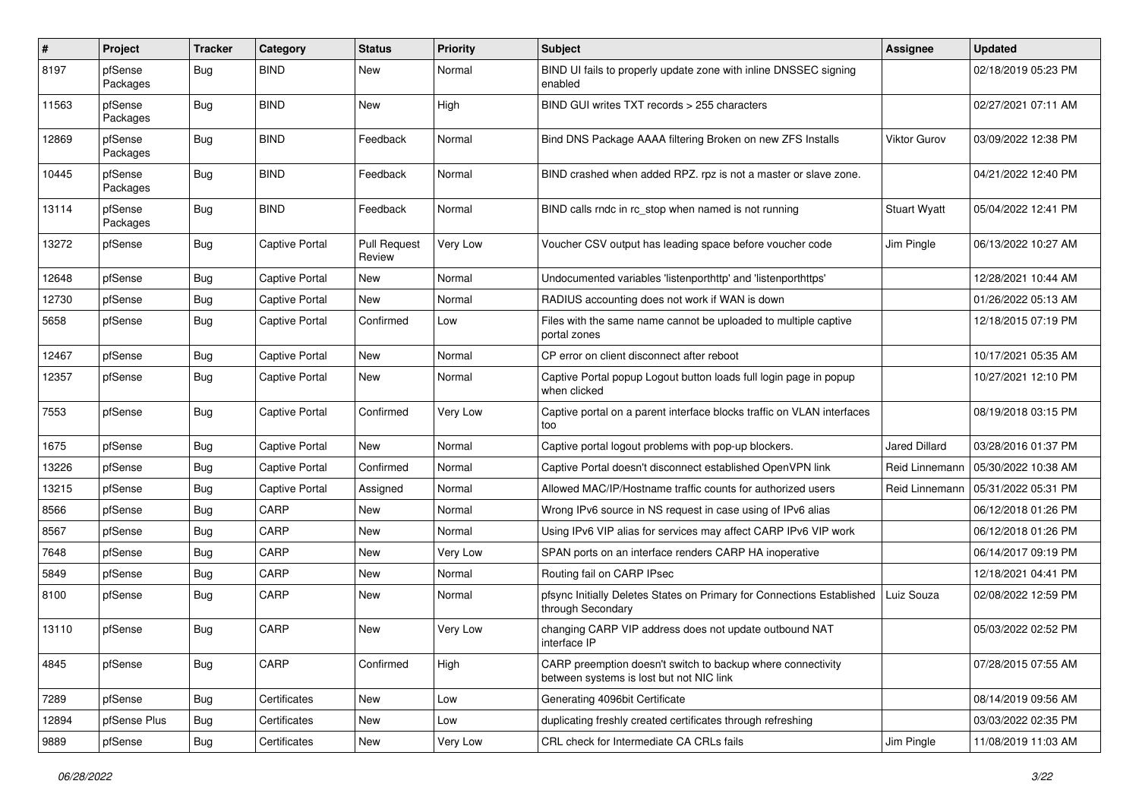| #     | Project             | <b>Tracker</b> | Category              | <b>Status</b>                 | <b>Priority</b> | Subject                                                                                                 | Assignee             | <b>Updated</b>      |
|-------|---------------------|----------------|-----------------------|-------------------------------|-----------------|---------------------------------------------------------------------------------------------------------|----------------------|---------------------|
| 8197  | pfSense<br>Packages | Bug            | <b>BIND</b>           | <b>New</b>                    | Normal          | BIND UI fails to properly update zone with inline DNSSEC signing<br>enabled                             |                      | 02/18/2019 05:23 PM |
| 11563 | pfSense<br>Packages | <b>Bug</b>     | <b>BIND</b>           | New                           | High            | BIND GUI writes TXT records > 255 characters                                                            |                      | 02/27/2021 07:11 AM |
| 12869 | pfSense<br>Packages | <b>Bug</b>     | <b>BIND</b>           | Feedback                      | Normal          | Bind DNS Package AAAA filtering Broken on new ZFS Installs                                              | Viktor Gurov         | 03/09/2022 12:38 PM |
| 10445 | pfSense<br>Packages | Bug            | <b>BIND</b>           | Feedback                      | Normal          | BIND crashed when added RPZ. rpz is not a master or slave zone.                                         |                      | 04/21/2022 12:40 PM |
| 13114 | pfSense<br>Packages | <b>Bug</b>     | <b>BIND</b>           | Feedback                      | Normal          | BIND calls rndc in rc_stop when named is not running                                                    | <b>Stuart Wyatt</b>  | 05/04/2022 12:41 PM |
| 13272 | pfSense             | <b>Bug</b>     | Captive Portal        | <b>Pull Request</b><br>Review | Very Low        | Voucher CSV output has leading space before voucher code                                                | Jim Pingle           | 06/13/2022 10:27 AM |
| 12648 | pfSense             | Bug            | <b>Captive Portal</b> | <b>New</b>                    | Normal          | Undocumented variables 'listenporthttp' and 'listenporthttps'                                           |                      | 12/28/2021 10:44 AM |
| 12730 | pfSense             | <b>Bug</b>     | Captive Portal        | New                           | Normal          | RADIUS accounting does not work if WAN is down                                                          |                      | 01/26/2022 05:13 AM |
| 5658  | pfSense             | <b>Bug</b>     | <b>Captive Portal</b> | Confirmed                     | Low             | Files with the same name cannot be uploaded to multiple captive<br>portal zones                         |                      | 12/18/2015 07:19 PM |
| 12467 | pfSense             | <b>Bug</b>     | <b>Captive Portal</b> | <b>New</b>                    | Normal          | CP error on client disconnect after reboot                                                              |                      | 10/17/2021 05:35 AM |
| 12357 | pfSense             | Bug            | <b>Captive Portal</b> | New                           | Normal          | Captive Portal popup Logout button loads full login page in popup<br>when clicked                       |                      | 10/27/2021 12:10 PM |
| 7553  | pfSense             | <b>Bug</b>     | Captive Portal        | Confirmed                     | Very Low        | Captive portal on a parent interface blocks traffic on VLAN interfaces<br>too                           |                      | 08/19/2018 03:15 PM |
| 1675  | pfSense             | <b>Bug</b>     | Captive Portal        | New                           | Normal          | Captive portal logout problems with pop-up blockers.                                                    | <b>Jared Dillard</b> | 03/28/2016 01:37 PM |
| 13226 | pfSense             | <b>Bug</b>     | <b>Captive Portal</b> | Confirmed                     | Normal          | Captive Portal doesn't disconnect established OpenVPN link                                              | Reid Linnemann       | 05/30/2022 10:38 AM |
| 13215 | pfSense             | Bug            | <b>Captive Portal</b> | Assigned                      | Normal          | Allowed MAC/IP/Hostname traffic counts for authorized users                                             | Reid Linnemann       | 05/31/2022 05:31 PM |
| 8566  | pfSense             | Bug            | CARP                  | <b>New</b>                    | Normal          | Wrong IPv6 source in NS request in case using of IPv6 alias                                             |                      | 06/12/2018 01:26 PM |
| 8567  | pfSense             | <b>Bug</b>     | CARP                  | New                           | Normal          | Using IPv6 VIP alias for services may affect CARP IPv6 VIP work                                         |                      | 06/12/2018 01:26 PM |
| 7648  | pfSense             | <b>Bug</b>     | CARP                  | <b>New</b>                    | Very Low        | SPAN ports on an interface renders CARP HA inoperative                                                  |                      | 06/14/2017 09:19 PM |
| 5849  | pfSense             | <b>Bug</b>     | CARP                  | New                           | Normal          | Routing fail on CARP IPsec                                                                              |                      | 12/18/2021 04:41 PM |
| 8100  | pfSense             | <b>Bug</b>     | CARP                  | New                           | Normal          | pfsync Initially Deletes States on Primary for Connections Established<br>through Secondary             | Luiz Souza           | 02/08/2022 12:59 PM |
| 13110 | pfSense             | <b>Bug</b>     | CARP                  | <b>New</b>                    | Very Low        | changing CARP VIP address does not update outbound NAT<br>interface IP                                  |                      | 05/03/2022 02:52 PM |
| 4845  | pfSense             | Bug            | CARP                  | Confirmed                     | High            | CARP preemption doesn't switch to backup where connectivity<br>between systems is lost but not NIC link |                      | 07/28/2015 07:55 AM |
| 7289  | pfSense             | <b>Bug</b>     | Certificates          | New                           | Low             | Generating 4096bit Certificate                                                                          |                      | 08/14/2019 09:56 AM |
| 12894 | pfSense Plus        | <b>Bug</b>     | Certificates          | New                           | Low             | duplicating freshly created certificates through refreshing                                             |                      | 03/03/2022 02:35 PM |
| 9889  | pfSense             | <b>Bug</b>     | Certificates          | New                           | Very Low        | CRL check for Intermediate CA CRLs fails                                                                | Jim Pingle           | 11/08/2019 11:03 AM |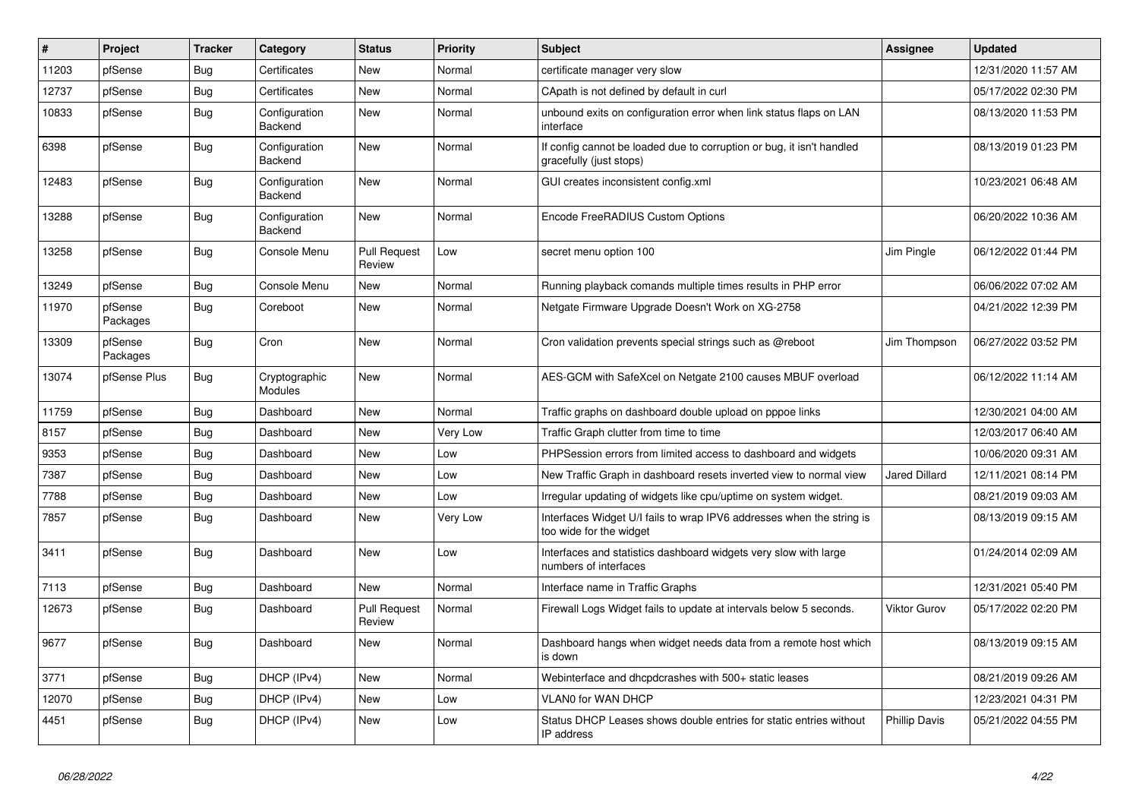| $\vert$ # | Project             | <b>Tracker</b> | Category                        | <b>Status</b>                 | Priority | <b>Subject</b>                                                                                   | <b>Assignee</b>      | <b>Updated</b>      |
|-----------|---------------------|----------------|---------------------------------|-------------------------------|----------|--------------------------------------------------------------------------------------------------|----------------------|---------------------|
| 11203     | pfSense             | <b>Bug</b>     | Certificates                    | <b>New</b>                    | Normal   | certificate manager very slow                                                                    |                      | 12/31/2020 11:57 AM |
| 12737     | pfSense             | <b>Bug</b>     | Certificates                    | <b>New</b>                    | Normal   | CApath is not defined by default in curl                                                         |                      | 05/17/2022 02:30 PM |
| 10833     | pfSense             | <b>Bug</b>     | Configuration<br>Backend        | New                           | Normal   | unbound exits on configuration error when link status flaps on LAN<br>interface                  |                      | 08/13/2020 11:53 PM |
| 6398      | pfSense             | Bug            | Configuration<br>Backend        | New                           | Normal   | If config cannot be loaded due to corruption or bug, it isn't handled<br>gracefully (just stops) |                      | 08/13/2019 01:23 PM |
| 12483     | pfSense             | <b>Bug</b>     | Configuration<br>Backend        | <b>New</b>                    | Normal   | GUI creates inconsistent config.xml                                                              |                      | 10/23/2021 06:48 AM |
| 13288     | pfSense             | Bug            | Configuration<br>Backend        | <b>New</b>                    | Normal   | Encode FreeRADIUS Custom Options                                                                 |                      | 06/20/2022 10:36 AM |
| 13258     | pfSense             | Bug            | Console Menu                    | <b>Pull Request</b><br>Review | Low      | secret menu option 100                                                                           | Jim Pingle           | 06/12/2022 01:44 PM |
| 13249     | pfSense             | <b>Bug</b>     | Console Menu                    | <b>New</b>                    | Normal   | Running playback comands multiple times results in PHP error                                     |                      | 06/06/2022 07:02 AM |
| 11970     | pfSense<br>Packages | <b>Bug</b>     | Coreboot                        | <b>New</b>                    | Normal   | Netgate Firmware Upgrade Doesn't Work on XG-2758                                                 |                      | 04/21/2022 12:39 PM |
| 13309     | pfSense<br>Packages | <b>Bug</b>     | Cron                            | <b>New</b>                    | Normal   | Cron validation prevents special strings such as @reboot                                         | Jim Thompson         | 06/27/2022 03:52 PM |
| 13074     | pfSense Plus        | <b>Bug</b>     | Cryptographic<br><b>Modules</b> | New                           | Normal   | AES-GCM with SafeXcel on Netgate 2100 causes MBUF overload                                       |                      | 06/12/2022 11:14 AM |
| 11759     | pfSense             | Bug            | Dashboard                       | <b>New</b>                    | Normal   | Traffic graphs on dashboard double upload on pppoe links                                         |                      | 12/30/2021 04:00 AM |
| 8157      | pfSense             | <b>Bug</b>     | Dashboard                       | New                           | Very Low | Traffic Graph clutter from time to time                                                          |                      | 12/03/2017 06:40 AM |
| 9353      | pfSense             | Bug            | Dashboard                       | New                           | Low      | PHPSession errors from limited access to dashboard and widgets                                   |                      | 10/06/2020 09:31 AM |
| 7387      | pfSense             | Bug            | Dashboard                       | New                           | Low      | New Traffic Graph in dashboard resets inverted view to normal view                               | <b>Jared Dillard</b> | 12/11/2021 08:14 PM |
| 7788      | pfSense             | <b>Bug</b>     | Dashboard                       | New                           | Low      | Irregular updating of widgets like cpu/uptime on system widget.                                  |                      | 08/21/2019 09:03 AM |
| 7857      | pfSense             | <b>Bug</b>     | Dashboard                       | New                           | Very Low | Interfaces Widget U/I fails to wrap IPV6 addresses when the string is<br>too wide for the widget |                      | 08/13/2019 09:15 AM |
| 3411      | pfSense             | <b>Bug</b>     | Dashboard                       | <b>New</b>                    | Low      | Interfaces and statistics dashboard widgets very slow with large<br>numbers of interfaces        |                      | 01/24/2014 02:09 AM |
| 7113      | pfSense             | Bug            | Dashboard                       | <b>New</b>                    | Normal   | Interface name in Traffic Graphs                                                                 |                      | 12/31/2021 05:40 PM |
| 12673     | pfSense             | Bug            | Dashboard                       | <b>Pull Request</b><br>Review | Normal   | Firewall Logs Widget fails to update at intervals below 5 seconds.                               | <b>Viktor Gurov</b>  | 05/17/2022 02:20 PM |
| 9677      | pfSense             | Bug            | Dashboard                       | New                           | Normal   | Dashboard hangs when widget needs data from a remote host which<br>is down                       |                      | 08/13/2019 09:15 AM |
| 3771      | pfSense             | Bug            | DHCP (IPv4)                     | <b>New</b>                    | Normal   | Webinterface and dhcpdcrashes with 500+ static leases                                            |                      | 08/21/2019 09:26 AM |
| 12070     | pfSense             | <b>Bug</b>     | DHCP (IPv4)                     | <b>New</b>                    | Low      | <b>VLAN0 for WAN DHCP</b>                                                                        |                      | 12/23/2021 04:31 PM |
| 4451      | pfSense             | Bug            | DHCP (IPv4)                     | <b>New</b>                    | Low      | Status DHCP Leases shows double entries for static entries without<br>IP address                 | <b>Phillip Davis</b> | 05/21/2022 04:55 PM |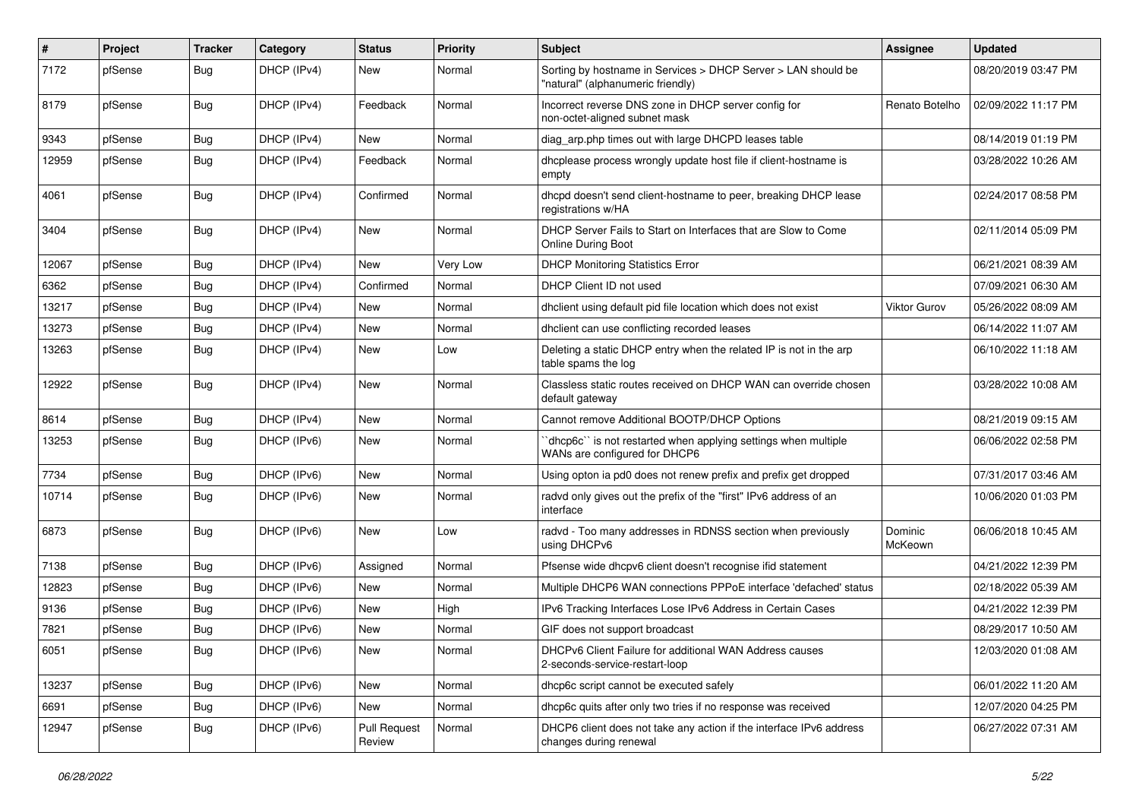| #     | Project | <b>Tracker</b> | Category    | <b>Status</b>                 | Priority | <b>Subject</b>                                                                                     | <b>Assignee</b>    | <b>Updated</b>      |
|-------|---------|----------------|-------------|-------------------------------|----------|----------------------------------------------------------------------------------------------------|--------------------|---------------------|
| 7172  | pfSense | <b>Bug</b>     | DHCP (IPv4) | New                           | Normal   | Sorting by hostname in Services > DHCP Server > LAN should be<br>"natural" (alphanumeric friendly) |                    | 08/20/2019 03:47 PM |
| 8179  | pfSense | <b>Bug</b>     | DHCP (IPv4) | Feedback                      | Normal   | Incorrect reverse DNS zone in DHCP server config for<br>non-octet-aligned subnet mask              | Renato Botelho     | 02/09/2022 11:17 PM |
| 9343  | pfSense | <b>Bug</b>     | DHCP (IPv4) | <b>New</b>                    | Normal   | diag_arp.php times out with large DHCPD leases table                                               |                    | 08/14/2019 01:19 PM |
| 12959 | pfSense | <b>Bug</b>     | DHCP (IPv4) | Feedback                      | Normal   | dhcplease process wrongly update host file if client-hostname is<br>empty                          |                    | 03/28/2022 10:26 AM |
| 4061  | pfSense | Bug            | DHCP (IPv4) | Confirmed                     | Normal   | dhcpd doesn't send client-hostname to peer, breaking DHCP lease<br>registrations w/HA              |                    | 02/24/2017 08:58 PM |
| 3404  | pfSense | <b>Bug</b>     | DHCP (IPv4) | <b>New</b>                    | Normal   | DHCP Server Fails to Start on Interfaces that are Slow to Come<br><b>Online During Boot</b>        |                    | 02/11/2014 05:09 PM |
| 12067 | pfSense | <b>Bug</b>     | DHCP (IPv4) | <b>New</b>                    | Very Low | <b>DHCP Monitoring Statistics Error</b>                                                            |                    | 06/21/2021 08:39 AM |
| 6362  | pfSense | <b>Bug</b>     | DHCP (IPv4) | Confirmed                     | Normal   | DHCP Client ID not used                                                                            |                    | 07/09/2021 06:30 AM |
| 13217 | pfSense | <b>Bug</b>     | DHCP (IPv4) | New                           | Normal   | dhclient using default pid file location which does not exist                                      | Viktor Gurov       | 05/26/2022 08:09 AM |
| 13273 | pfSense | <b>Bug</b>     | DHCP (IPv4) | <b>New</b>                    | Normal   | dhclient can use conflicting recorded leases                                                       |                    | 06/14/2022 11:07 AM |
| 13263 | pfSense | <b>Bug</b>     | DHCP (IPv4) | <b>New</b>                    | Low      | Deleting a static DHCP entry when the related IP is not in the arp<br>table spams the log          |                    | 06/10/2022 11:18 AM |
| 12922 | pfSense | <b>Bug</b>     | DHCP (IPv4) | <b>New</b>                    | Normal   | Classless static routes received on DHCP WAN can override chosen<br>default gateway                |                    | 03/28/2022 10:08 AM |
| 8614  | pfSense | <b>Bug</b>     | DHCP (IPv4) | <b>New</b>                    | Normal   | Cannot remove Additional BOOTP/DHCP Options                                                        |                    | 08/21/2019 09:15 AM |
| 13253 | pfSense | <b>Bug</b>     | DHCP (IPv6) | <b>New</b>                    | Normal   | dhcp6c" is not restarted when applying settings when multiple<br>WANs are configured for DHCP6     |                    | 06/06/2022 02:58 PM |
| 7734  | pfSense | <b>Bug</b>     | DHCP (IPv6) | <b>New</b>                    | Normal   | Using opton ia pd0 does not renew prefix and prefix get dropped                                    |                    | 07/31/2017 03:46 AM |
| 10714 | pfSense | Bug            | DHCP (IPv6) | <b>New</b>                    | Normal   | radvd only gives out the prefix of the "first" IPv6 address of an<br>interface                     |                    | 10/06/2020 01:03 PM |
| 6873  | pfSense | <b>Bug</b>     | DHCP (IPv6) | New                           | Low      | radvd - Too many addresses in RDNSS section when previously<br>using DHCPv6                        | Dominic<br>McKeown | 06/06/2018 10:45 AM |
| 7138  | pfSense | <b>Bug</b>     | DHCP (IPv6) | Assigned                      | Normal   | Pfsense wide dhcpv6 client doesn't recognise ifid statement                                        |                    | 04/21/2022 12:39 PM |
| 12823 | pfSense | <b>Bug</b>     | DHCP (IPv6) | <b>New</b>                    | Normal   | Multiple DHCP6 WAN connections PPPoE interface 'defached' status                                   |                    | 02/18/2022 05:39 AM |
| 9136  | pfSense | <b>Bug</b>     | DHCP (IPv6) | New                           | High     | IPv6 Tracking Interfaces Lose IPv6 Address in Certain Cases                                        |                    | 04/21/2022 12:39 PM |
| 7821  | pfSense | <b>Bug</b>     | DHCP (IPv6) | <b>New</b>                    | Normal   | GIF does not support broadcast                                                                     |                    | 08/29/2017 10:50 AM |
| 6051  | pfSense | <b>Bug</b>     | DHCP (IPv6) | New                           | Normal   | DHCPv6 Client Failure for additional WAN Address causes<br>2-seconds-service-restart-loop          |                    | 12/03/2020 01:08 AM |
| 13237 | pfSense | <b>Bug</b>     | DHCP (IPv6) | New                           | Normal   | dhcp6c script cannot be executed safely                                                            |                    | 06/01/2022 11:20 AM |
| 6691  | pfSense | <b>Bug</b>     | DHCP (IPv6) | New                           | Normal   | dhcp6c quits after only two tries if no response was received                                      |                    | 12/07/2020 04:25 PM |
| 12947 | pfSense | <b>Bug</b>     | DHCP (IPv6) | <b>Pull Request</b><br>Review | Normal   | DHCP6 client does not take any action if the interface IPv6 address<br>changes during renewal      |                    | 06/27/2022 07:31 AM |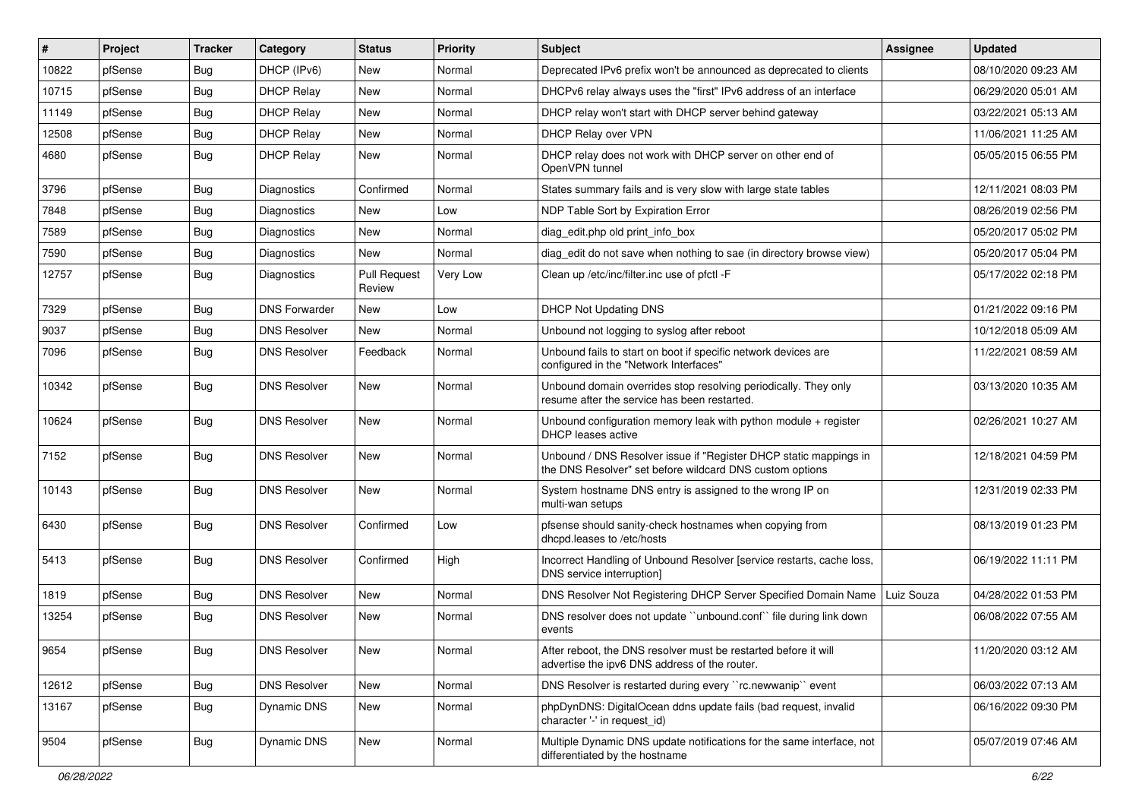| $\pmb{\sharp}$ | Project | <b>Tracker</b> | Category             | <b>Status</b>                 | <b>Priority</b> | Subject                                                                                                                       | Assignee   | <b>Updated</b>      |
|----------------|---------|----------------|----------------------|-------------------------------|-----------------|-------------------------------------------------------------------------------------------------------------------------------|------------|---------------------|
| 10822          | pfSense | <b>Bug</b>     | DHCP (IPv6)          | New                           | Normal          | Deprecated IPv6 prefix won't be announced as deprecated to clients                                                            |            | 08/10/2020 09:23 AM |
| 10715          | pfSense | Bug            | <b>DHCP Relay</b>    | <b>New</b>                    | Normal          | DHCPv6 relay always uses the "first" IPv6 address of an interface                                                             |            | 06/29/2020 05:01 AM |
| 11149          | pfSense | Bug            | <b>DHCP Relay</b>    | New                           | Normal          | DHCP relay won't start with DHCP server behind gateway                                                                        |            | 03/22/2021 05:13 AM |
| 12508          | pfSense | <b>Bug</b>     | <b>DHCP Relay</b>    | <b>New</b>                    | Normal          | DHCP Relay over VPN                                                                                                           |            | 11/06/2021 11:25 AM |
| 4680           | pfSense | <b>Bug</b>     | <b>DHCP Relay</b>    | <b>New</b>                    | Normal          | DHCP relay does not work with DHCP server on other end of<br>OpenVPN tunnel                                                   |            | 05/05/2015 06:55 PM |
| 3796           | pfSense | Bug            | Diagnostics          | Confirmed                     | Normal          | States summary fails and is very slow with large state tables                                                                 |            | 12/11/2021 08:03 PM |
| 7848           | pfSense | <b>Bug</b>     | Diagnostics          | <b>New</b>                    | Low             | NDP Table Sort by Expiration Error                                                                                            |            | 08/26/2019 02:56 PM |
| 7589           | pfSense | Bug            | Diagnostics          | New                           | Normal          | diag_edit.php old print_info_box                                                                                              |            | 05/20/2017 05:02 PM |
| 7590           | pfSense | <b>Bug</b>     | Diagnostics          | <b>New</b>                    | Normal          | diag_edit do not save when nothing to sae (in directory browse view)                                                          |            | 05/20/2017 05:04 PM |
| 12757          | pfSense | Bug            | Diagnostics          | <b>Pull Request</b><br>Review | Very Low        | Clean up /etc/inc/filter.inc use of pfctl -F                                                                                  |            | 05/17/2022 02:18 PM |
| 7329           | pfSense | Bug            | <b>DNS Forwarder</b> | <b>New</b>                    | Low             | DHCP Not Updating DNS                                                                                                         |            | 01/21/2022 09:16 PM |
| 9037           | pfSense | Bug            | <b>DNS Resolver</b>  | New                           | Normal          | Unbound not logging to syslog after reboot                                                                                    |            | 10/12/2018 05:09 AM |
| 7096           | pfSense | Bug            | <b>DNS Resolver</b>  | Feedback                      | Normal          | Unbound fails to start on boot if specific network devices are<br>configured in the "Network Interfaces"                      |            | 11/22/2021 08:59 AM |
| 10342          | pfSense | Bug            | <b>DNS Resolver</b>  | New                           | Normal          | Unbound domain overrides stop resolving periodically. They only<br>resume after the service has been restarted.               |            | 03/13/2020 10:35 AM |
| 10624          | pfSense | Bug            | <b>DNS Resolver</b>  | New                           | Normal          | Unbound configuration memory leak with python module $+$ register<br>DHCP leases active                                       |            | 02/26/2021 10:27 AM |
| 7152           | pfSense | Bug            | <b>DNS Resolver</b>  | New                           | Normal          | Unbound / DNS Resolver issue if "Register DHCP static mappings in<br>the DNS Resolver" set before wildcard DNS custom options |            | 12/18/2021 04:59 PM |
| 10143          | pfSense | Bug            | <b>DNS Resolver</b>  | New                           | Normal          | System hostname DNS entry is assigned to the wrong IP on<br>multi-wan setups                                                  |            | 12/31/2019 02:33 PM |
| 6430           | pfSense | Bug            | <b>DNS Resolver</b>  | Confirmed                     | Low             | pfsense should sanity-check hostnames when copying from<br>dhcpd.leases to /etc/hosts                                         |            | 08/13/2019 01:23 PM |
| 5413           | pfSense | <b>Bug</b>     | <b>DNS Resolver</b>  | Confirmed                     | High            | Incorrect Handling of Unbound Resolver [service restarts, cache loss,<br>DNS service interruption]                            |            | 06/19/2022 11:11 PM |
| 1819           | pfSense | <b>Bug</b>     | <b>DNS Resolver</b>  | <b>New</b>                    | Normal          | DNS Resolver Not Registering DHCP Server Specified Domain Name                                                                | Luiz Souza | 04/28/2022 01:53 PM |
| 13254          | pfSense | <b>Bug</b>     | <b>DNS Resolver</b>  | New                           | Normal          | DNS resolver does not update "unbound.conf" file during link down<br>events                                                   |            | 06/08/2022 07:55 AM |
| 9654           | pfSense | <b>Bug</b>     | <b>DNS Resolver</b>  | New                           | Normal          | After reboot, the DNS resolver must be restarted before it will<br>advertise the ipv6 DNS address of the router.              |            | 11/20/2020 03:12 AM |
| 12612          | pfSense | <b>Bug</b>     | <b>DNS Resolver</b>  | New                           | Normal          | DNS Resolver is restarted during every "rc.newwanip" event                                                                    |            | 06/03/2022 07:13 AM |
| 13167          | pfSense | Bug            | Dynamic DNS          | New                           | Normal          | phpDynDNS: DigitalOcean ddns update fails (bad request, invalid<br>character '-' in request_id)                               |            | 06/16/2022 09:30 PM |
| 9504           | pfSense | Bug            | Dynamic DNS          | New                           | Normal          | Multiple Dynamic DNS update notifications for the same interface, not<br>differentiated by the hostname                       |            | 05/07/2019 07:46 AM |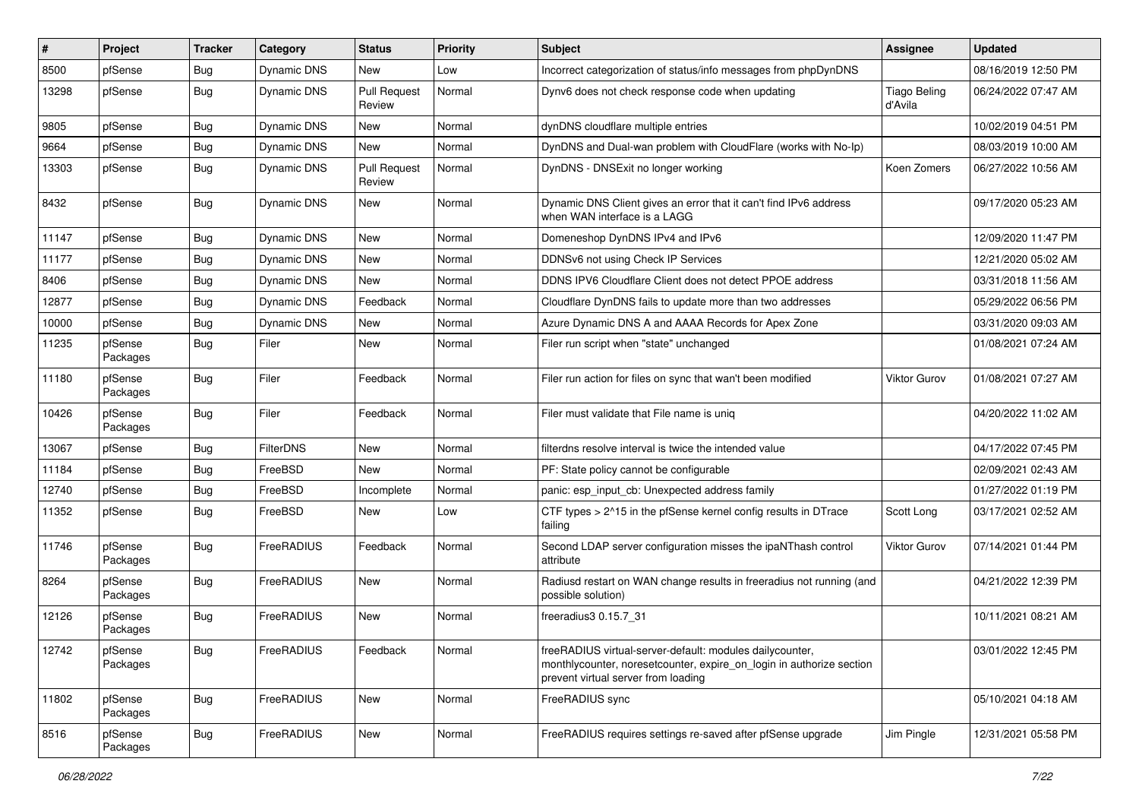| $\vert$ # | Project             | <b>Tracker</b> | Category           | <b>Status</b>                 | Priority | Subject                                                                                                                                                                 | Assignee                       | <b>Updated</b>      |
|-----------|---------------------|----------------|--------------------|-------------------------------|----------|-------------------------------------------------------------------------------------------------------------------------------------------------------------------------|--------------------------------|---------------------|
| 8500      | pfSense             | Bug            | <b>Dynamic DNS</b> | New                           | Low      | Incorrect categorization of status/info messages from phpDynDNS                                                                                                         |                                | 08/16/2019 12:50 PM |
| 13298     | pfSense             | Bug            | Dynamic DNS        | <b>Pull Request</b><br>Review | Normal   | Dynv6 does not check response code when updating                                                                                                                        | <b>Tiago Beling</b><br>d'Avila | 06/24/2022 07:47 AM |
| 9805      | pfSense             | Bug            | Dynamic DNS        | New                           | Normal   | dynDNS cloudflare multiple entries                                                                                                                                      |                                | 10/02/2019 04:51 PM |
| 9664      | pfSense             | <b>Bug</b>     | Dynamic DNS        | New                           | Normal   | DynDNS and Dual-wan problem with CloudFlare (works with No-Ip)                                                                                                          |                                | 08/03/2019 10:00 AM |
| 13303     | pfSense             | <b>Bug</b>     | <b>Dynamic DNS</b> | <b>Pull Request</b><br>Review | Normal   | DynDNS - DNSExit no longer working                                                                                                                                      | Koen Zomers                    | 06/27/2022 10:56 AM |
| 8432      | pfSense             | <b>Bug</b>     | <b>Dynamic DNS</b> | <b>New</b>                    | Normal   | Dynamic DNS Client gives an error that it can't find IPv6 address<br>when WAN interface is a LAGG                                                                       |                                | 09/17/2020 05:23 AM |
| 11147     | pfSense             | Bug            | Dynamic DNS        | New                           | Normal   | Domeneshop DynDNS IPv4 and IPv6                                                                                                                                         |                                | 12/09/2020 11:47 PM |
| 11177     | pfSense             | <b>Bug</b>     | Dynamic DNS        | New                           | Normal   | DDNSv6 not using Check IP Services                                                                                                                                      |                                | 12/21/2020 05:02 AM |
| 8406      | pfSense             | <b>Bug</b>     | Dynamic DNS        | New                           | Normal   | DDNS IPV6 Cloudflare Client does not detect PPOE address                                                                                                                |                                | 03/31/2018 11:56 AM |
| 12877     | pfSense             | Bug            | Dynamic DNS        | Feedback                      | Normal   | Cloudflare DynDNS fails to update more than two addresses                                                                                                               |                                | 05/29/2022 06:56 PM |
| 10000     | pfSense             | Bug            | <b>Dynamic DNS</b> | New                           | Normal   | Azure Dynamic DNS A and AAAA Records for Apex Zone                                                                                                                      |                                | 03/31/2020 09:03 AM |
| 11235     | pfSense<br>Packages | Bug            | Filer              | New                           | Normal   | Filer run script when "state" unchanged                                                                                                                                 |                                | 01/08/2021 07:24 AM |
| 11180     | pfSense<br>Packages | Bug            | Filer              | Feedback                      | Normal   | Filer run action for files on sync that wan't been modified                                                                                                             | Viktor Gurov                   | 01/08/2021 07:27 AM |
| 10426     | pfSense<br>Packages | <b>Bug</b>     | Filer              | Feedback                      | Normal   | Filer must validate that File name is unig                                                                                                                              |                                | 04/20/2022 11:02 AM |
| 13067     | pfSense             | Bug            | <b>FilterDNS</b>   | <b>New</b>                    | Normal   | filterdns resolve interval is twice the intended value                                                                                                                  |                                | 04/17/2022 07:45 PM |
| 11184     | pfSense             | Bug            | FreeBSD            | New                           | Normal   | PF: State policy cannot be configurable                                                                                                                                 |                                | 02/09/2021 02:43 AM |
| 12740     | pfSense             | Bug            | FreeBSD            | Incomplete                    | Normal   | panic: esp_input_cb: Unexpected address family                                                                                                                          |                                | 01/27/2022 01:19 PM |
| 11352     | pfSense             | Bug            | FreeBSD            | <b>New</b>                    | Low      | CTF types > 2^15 in the pfSense kernel config results in DTrace<br>failing                                                                                              | Scott Long                     | 03/17/2021 02:52 AM |
| 11746     | pfSense<br>Packages | <b>Bug</b>     | FreeRADIUS         | Feedback                      | Normal   | Second LDAP server configuration misses the ipaNThash control<br>attribute                                                                                              | <b>Viktor Gurov</b>            | 07/14/2021 01:44 PM |
| 8264      | pfSense<br>Packages | <b>Bug</b>     | FreeRADIUS         | New                           | Normal   | Radiusd restart on WAN change results in freeradius not running (and<br>possible solution)                                                                              |                                | 04/21/2022 12:39 PM |
| 12126     | pfSense<br>Packages | <b>Bug</b>     | FreeRADIUS         | New                           | Normal   | freeradius3 0.15.7 31                                                                                                                                                   |                                | 10/11/2021 08:21 AM |
| 12742     | pfSense<br>Packages | <b>Bug</b>     | FreeRADIUS         | Feedback                      | Normal   | freeRADIUS virtual-server-default: modules dailycounter,<br>monthlycounter, noresetcounter, expire_on_login in authorize section<br>prevent virtual server from loading |                                | 03/01/2022 12:45 PM |
| 11802     | pfSense<br>Packages | <b>Bug</b>     | FreeRADIUS         | New                           | Normal   | FreeRADIUS sync                                                                                                                                                         |                                | 05/10/2021 04:18 AM |
| 8516      | pfSense<br>Packages | <b>Bug</b>     | FreeRADIUS         | New                           | Normal   | FreeRADIUS requires settings re-saved after pfSense upgrade                                                                                                             | Jim Pingle                     | 12/31/2021 05:58 PM |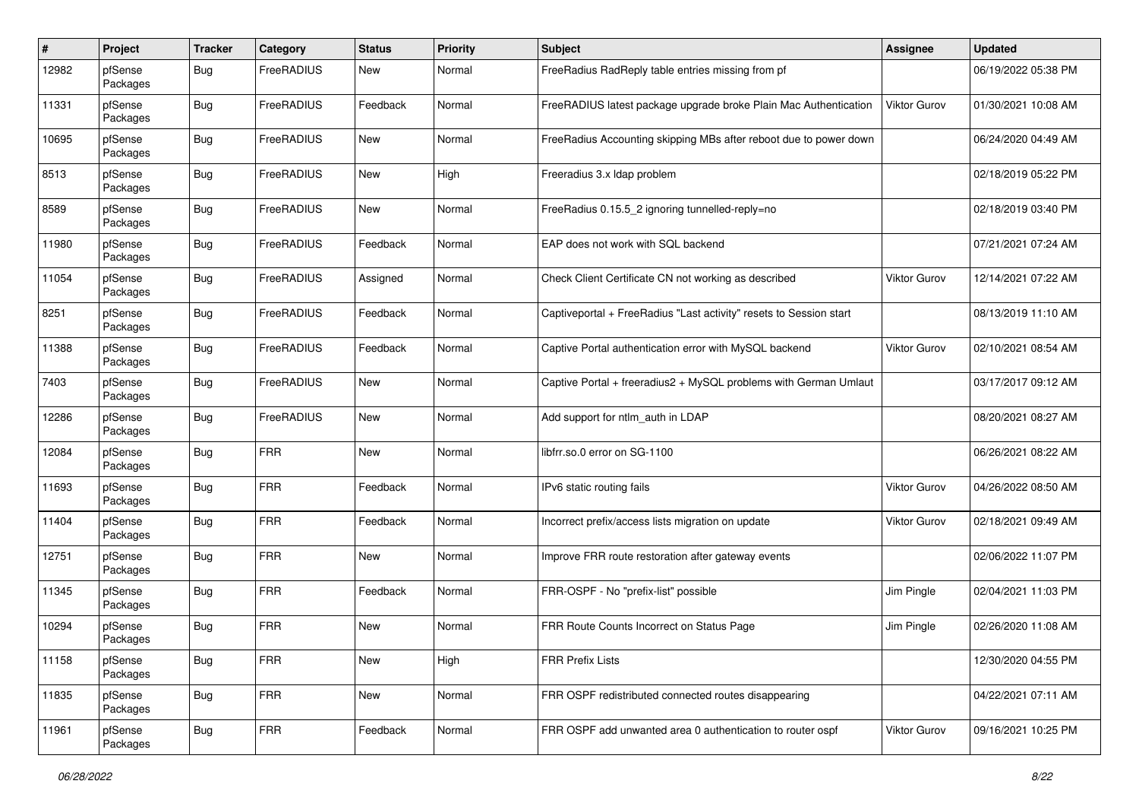| $\pmb{\#}$ | Project             | <b>Tracker</b> | Category   | <b>Status</b> | <b>Priority</b> | <b>Subject</b>                                                     | <b>Assignee</b>     | <b>Updated</b>      |
|------------|---------------------|----------------|------------|---------------|-----------------|--------------------------------------------------------------------|---------------------|---------------------|
| 12982      | pfSense<br>Packages | Bug            | FreeRADIUS | New           | Normal          | FreeRadius RadReply table entries missing from pf                  |                     | 06/19/2022 05:38 PM |
| 11331      | pfSense<br>Packages | Bug            | FreeRADIUS | Feedback      | Normal          | FreeRADIUS latest package upgrade broke Plain Mac Authentication   | Viktor Gurov        | 01/30/2021 10:08 AM |
| 10695      | pfSense<br>Packages | <b>Bug</b>     | FreeRADIUS | New           | Normal          | FreeRadius Accounting skipping MBs after reboot due to power down  |                     | 06/24/2020 04:49 AM |
| 8513       | pfSense<br>Packages | Bug            | FreeRADIUS | New           | High            | Freeradius 3.x Idap problem                                        |                     | 02/18/2019 05:22 PM |
| 8589       | pfSense<br>Packages | Bug            | FreeRADIUS | New           | Normal          | FreeRadius 0.15.5 2 ignoring tunnelled-reply=no                    |                     | 02/18/2019 03:40 PM |
| 11980      | pfSense<br>Packages | <b>Bug</b>     | FreeRADIUS | Feedback      | Normal          | EAP does not work with SQL backend                                 |                     | 07/21/2021 07:24 AM |
| 11054      | pfSense<br>Packages | Bug            | FreeRADIUS | Assigned      | Normal          | Check Client Certificate CN not working as described               | <b>Viktor Gurov</b> | 12/14/2021 07:22 AM |
| 8251       | pfSense<br>Packages | Bug            | FreeRADIUS | Feedback      | Normal          | Captiveportal + FreeRadius "Last activity" resets to Session start |                     | 08/13/2019 11:10 AM |
| 11388      | pfSense<br>Packages | <b>Bug</b>     | FreeRADIUS | Feedback      | Normal          | Captive Portal authentication error with MySQL backend             | Viktor Gurov        | 02/10/2021 08:54 AM |
| 7403       | pfSense<br>Packages | <b>Bug</b>     | FreeRADIUS | <b>New</b>    | Normal          | Captive Portal + freeradius2 + MySQL problems with German Umlaut   |                     | 03/17/2017 09:12 AM |
| 12286      | pfSense<br>Packages | Bug            | FreeRADIUS | New           | Normal          | Add support for ntlm_auth in LDAP                                  |                     | 08/20/2021 08:27 AM |
| 12084      | pfSense<br>Packages | Bug            | <b>FRR</b> | New           | Normal          | libfrr.so.0 error on SG-1100                                       |                     | 06/26/2021 08:22 AM |
| 11693      | pfSense<br>Packages | <b>Bug</b>     | <b>FRR</b> | Feedback      | Normal          | IPv6 static routing fails                                          | Viktor Gurov        | 04/26/2022 08:50 AM |
| 11404      | pfSense<br>Packages | <b>Bug</b>     | <b>FRR</b> | Feedback      | Normal          | Incorrect prefix/access lists migration on update                  | Viktor Gurov        | 02/18/2021 09:49 AM |
| 12751      | pfSense<br>Packages | Bug            | <b>FRR</b> | New           | Normal          | Improve FRR route restoration after gateway events                 |                     | 02/06/2022 11:07 PM |
| 11345      | pfSense<br>Packages | Bug            | <b>FRR</b> | Feedback      | Normal          | FRR-OSPF - No "prefix-list" possible                               | Jim Pingle          | 02/04/2021 11:03 PM |
| 10294      | pfSense<br>Packages | <b>Bug</b>     | <b>FRR</b> | New           | Normal          | FRR Route Counts Incorrect on Status Page                          | Jim Pingle          | 02/26/2020 11:08 AM |
| 11158      | pfSense<br>Packages | <b>Bug</b>     | <b>FRR</b> | New           | High            | <b>FRR Prefix Lists</b>                                            |                     | 12/30/2020 04:55 PM |
| 11835      | pfSense<br>Packages | <b>Bug</b>     | <b>FRR</b> | New           | Normal          | FRR OSPF redistributed connected routes disappearing               |                     | 04/22/2021 07:11 AM |
| 11961      | pfSense<br>Packages | <b>Bug</b>     | <b>FRR</b> | Feedback      | Normal          | FRR OSPF add unwanted area 0 authentication to router ospf         | Viktor Gurov        | 09/16/2021 10:25 PM |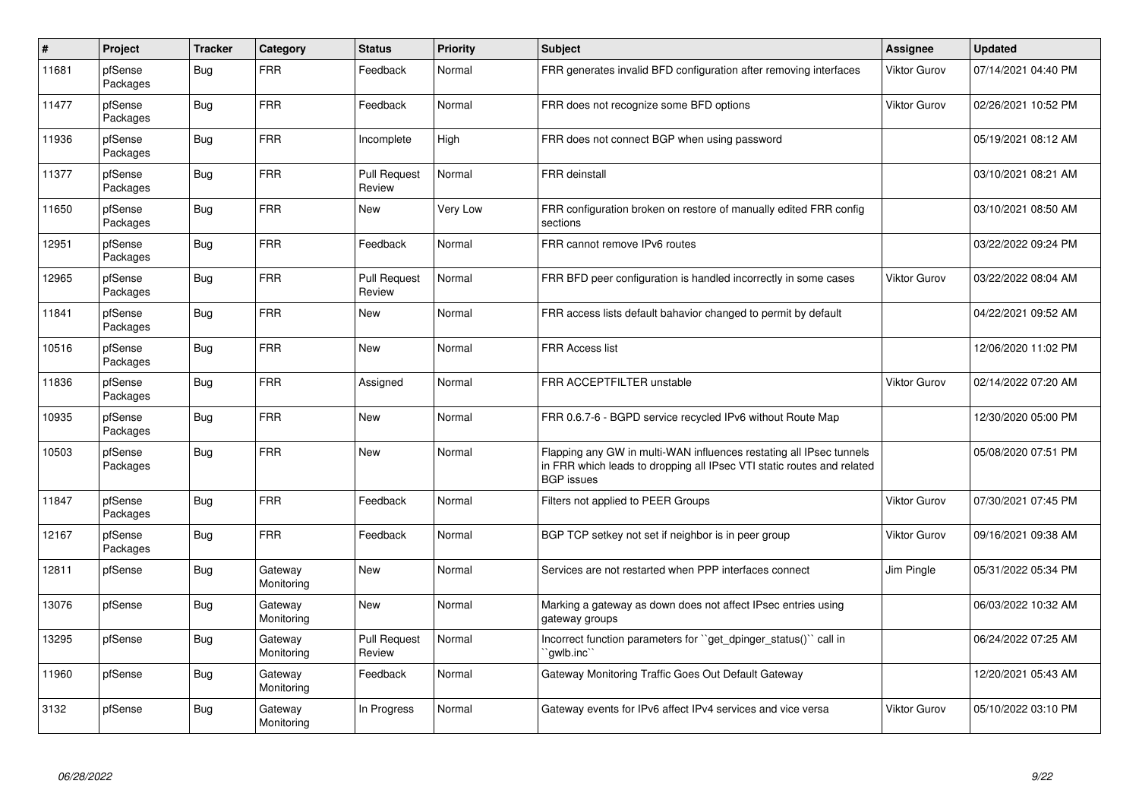| $\vert$ # | Project             | <b>Tracker</b> | Category              | <b>Status</b>                 | Priority | <b>Subject</b>                                                                                                                                                     | Assignee            | <b>Updated</b>      |
|-----------|---------------------|----------------|-----------------------|-------------------------------|----------|--------------------------------------------------------------------------------------------------------------------------------------------------------------------|---------------------|---------------------|
| 11681     | pfSense<br>Packages | Bug            | <b>FRR</b>            | Feedback                      | Normal   | FRR generates invalid BFD configuration after removing interfaces                                                                                                  | <b>Viktor Gurov</b> | 07/14/2021 04:40 PM |
| 11477     | pfSense<br>Packages | Bug            | <b>FRR</b>            | Feedback                      | Normal   | FRR does not recognize some BFD options                                                                                                                            | <b>Viktor Gurov</b> | 02/26/2021 10:52 PM |
| 11936     | pfSense<br>Packages | Bug            | <b>FRR</b>            | Incomplete                    | High     | FRR does not connect BGP when using password                                                                                                                       |                     | 05/19/2021 08:12 AM |
| 11377     | pfSense<br>Packages | <b>Bug</b>     | <b>FRR</b>            | <b>Pull Request</b><br>Review | Normal   | <b>FRR</b> deinstall                                                                                                                                               |                     | 03/10/2021 08:21 AM |
| 11650     | pfSense<br>Packages | <b>Bug</b>     | <b>FRR</b>            | New                           | Very Low | FRR configuration broken on restore of manually edited FRR config<br>sections                                                                                      |                     | 03/10/2021 08:50 AM |
| 12951     | pfSense<br>Packages | <b>Bug</b>     | <b>FRR</b>            | Feedback                      | Normal   | FRR cannot remove IPv6 routes                                                                                                                                      |                     | 03/22/2022 09:24 PM |
| 12965     | pfSense<br>Packages | <b>Bug</b>     | <b>FRR</b>            | <b>Pull Request</b><br>Review | Normal   | FRR BFD peer configuration is handled incorrectly in some cases                                                                                                    | Viktor Gurov        | 03/22/2022 08:04 AM |
| 11841     | pfSense<br>Packages | Bug            | <b>FRR</b>            | New                           | Normal   | FRR access lists default bahavior changed to permit by default                                                                                                     |                     | 04/22/2021 09:52 AM |
| 10516     | pfSense<br>Packages | <b>Bug</b>     | <b>FRR</b>            | New                           | Normal   | <b>FRR Access list</b>                                                                                                                                             |                     | 12/06/2020 11:02 PM |
| 11836     | pfSense<br>Packages | Bug            | <b>FRR</b>            | Assigned                      | Normal   | FRR ACCEPTFILTER unstable                                                                                                                                          | Viktor Gurov        | 02/14/2022 07:20 AM |
| 10935     | pfSense<br>Packages | <b>Bug</b>     | <b>FRR</b>            | <b>New</b>                    | Normal   | FRR 0.6.7-6 - BGPD service recycled IPv6 without Route Map                                                                                                         |                     | 12/30/2020 05:00 PM |
| 10503     | pfSense<br>Packages | <b>Bug</b>     | <b>FRR</b>            | <b>New</b>                    | Normal   | Flapping any GW in multi-WAN influences restating all IPsec tunnels<br>in FRR which leads to dropping all IPsec VTI static routes and related<br><b>BGP</b> issues |                     | 05/08/2020 07:51 PM |
| 11847     | pfSense<br>Packages | <b>Bug</b>     | <b>FRR</b>            | Feedback                      | Normal   | Filters not applied to PEER Groups                                                                                                                                 | <b>Viktor Gurov</b> | 07/30/2021 07:45 PM |
| 12167     | pfSense<br>Packages | <b>Bug</b>     | <b>FRR</b>            | Feedback                      | Normal   | BGP TCP setkey not set if neighbor is in peer group                                                                                                                | <b>Viktor Gurov</b> | 09/16/2021 09:38 AM |
| 12811     | pfSense             | <b>Bug</b>     | Gateway<br>Monitoring | New                           | Normal   | Services are not restarted when PPP interfaces connect                                                                                                             | Jim Pingle          | 05/31/2022 05:34 PM |
| 13076     | pfSense             | Bug            | Gateway<br>Monitoring | <b>New</b>                    | Normal   | Marking a gateway as down does not affect IPsec entries using<br>gateway groups                                                                                    |                     | 06/03/2022 10:32 AM |
| 13295     | pfSense             | Bug            | Gateway<br>Monitoring | <b>Pull Request</b><br>Review | Normal   | Incorrect function parameters for "get dpinger status()" call in<br>'gwlb.inc                                                                                      |                     | 06/24/2022 07:25 AM |
| 11960     | pfSense             | Bug            | Gateway<br>Monitoring | Feedback                      | Normal   | Gateway Monitoring Traffic Goes Out Default Gateway                                                                                                                |                     | 12/20/2021 05:43 AM |
| 3132      | pfSense             | Bug            | Gateway<br>Monitoring | In Progress                   | Normal   | Gateway events for IPv6 affect IPv4 services and vice versa                                                                                                        | Viktor Gurov        | 05/10/2022 03:10 PM |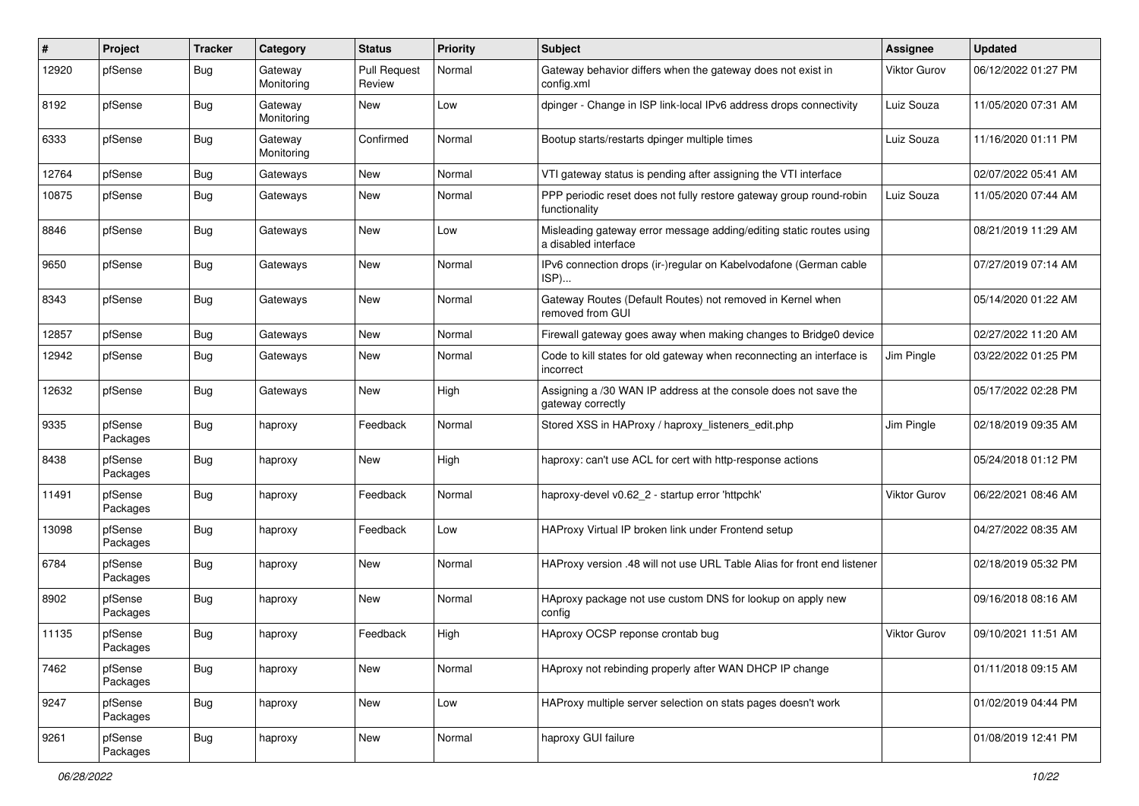| #     | Project             | <b>Tracker</b> | Category              | <b>Status</b>                 | Priority | <b>Subject</b>                                                                              | <b>Assignee</b> | <b>Updated</b>      |
|-------|---------------------|----------------|-----------------------|-------------------------------|----------|---------------------------------------------------------------------------------------------|-----------------|---------------------|
| 12920 | pfSense             | Bug            | Gateway<br>Monitoring | <b>Pull Request</b><br>Review | Normal   | Gateway behavior differs when the gateway does not exist in<br>config.xml                   | Viktor Gurov    | 06/12/2022 01:27 PM |
| 8192  | pfSense             | <b>Bug</b>     | Gateway<br>Monitoring | New                           | Low      | dpinger - Change in ISP link-local IPv6 address drops connectivity                          | Luiz Souza      | 11/05/2020 07:31 AM |
| 6333  | pfSense             | Bug            | Gateway<br>Monitoring | Confirmed                     | Normal   | Bootup starts/restarts dpinger multiple times                                               | Luiz Souza      | 11/16/2020 01:11 PM |
| 12764 | pfSense             | Bug            | Gateways              | New                           | Normal   | VTI gateway status is pending after assigning the VTI interface                             |                 | 02/07/2022 05:41 AM |
| 10875 | pfSense             | <b>Bug</b>     | Gateways              | New                           | Normal   | PPP periodic reset does not fully restore gateway group round-robin<br>functionality        | Luiz Souza      | 11/05/2020 07:44 AM |
| 8846  | pfSense             | Bug            | Gateways              | New                           | Low      | Misleading gateway error message adding/editing static routes using<br>a disabled interface |                 | 08/21/2019 11:29 AM |
| 9650  | pfSense             | Bug            | Gateways              | New                           | Normal   | IPv6 connection drops (ir-)regular on Kabelvodafone (German cable<br>ISP)                   |                 | 07/27/2019 07:14 AM |
| 8343  | pfSense             | <b>Bug</b>     | Gateways              | New                           | Normal   | Gateway Routes (Default Routes) not removed in Kernel when<br>removed from GUI              |                 | 05/14/2020 01:22 AM |
| 12857 | pfSense             | Bug            | Gateways              | New                           | Normal   | Firewall gateway goes away when making changes to Bridge0 device                            |                 | 02/27/2022 11:20 AM |
| 12942 | pfSense             | <b>Bug</b>     | Gateways              | New                           | Normal   | Code to kill states for old gateway when reconnecting an interface is<br>incorrect          | Jim Pingle      | 03/22/2022 01:25 PM |
| 12632 | pfSense             | <b>Bug</b>     | Gateways              | New                           | High     | Assigning a /30 WAN IP address at the console does not save the<br>gateway correctly        |                 | 05/17/2022 02:28 PM |
| 9335  | pfSense<br>Packages | Bug            | haproxy               | Feedback                      | Normal   | Stored XSS in HAProxy / haproxy_listeners_edit.php                                          | Jim Pingle      | 02/18/2019 09:35 AM |
| 8438  | pfSense<br>Packages | <b>Bug</b>     | haproxy               | New                           | High     | haproxy: can't use ACL for cert with http-response actions                                  |                 | 05/24/2018 01:12 PM |
| 11491 | pfSense<br>Packages | <b>Bug</b>     | haproxy               | Feedback                      | Normal   | haproxy-devel v0.62_2 - startup error 'httpchk'                                             | Viktor Gurov    | 06/22/2021 08:46 AM |
| 13098 | pfSense<br>Packages | Bug            | haproxy               | Feedback                      | Low      | HAProxy Virtual IP broken link under Frontend setup                                         |                 | 04/27/2022 08:35 AM |
| 6784  | pfSense<br>Packages | <b>Bug</b>     | haproxy               | New                           | Normal   | HAProxy version .48 will not use URL Table Alias for front end listener                     |                 | 02/18/2019 05:32 PM |
| 8902  | pfSense<br>Packages | Bug            | haproxy               | New                           | Normal   | HAproxy package not use custom DNS for lookup on apply new<br>config                        |                 | 09/16/2018 08:16 AM |
| 11135 | pfSense<br>Packages | <b>Bug</b>     | haproxy               | Feedback                      | High     | HAproxy OCSP reponse crontab bug                                                            | Viktor Gurov    | 09/10/2021 11:51 AM |
| 7462  | pfSense<br>Packages | <b>Bug</b>     | haproxy               | New                           | Normal   | HAproxy not rebinding properly after WAN DHCP IP change                                     |                 | 01/11/2018 09:15 AM |
| 9247  | pfSense<br>Packages | <b>Bug</b>     | haproxy               | New                           | Low      | HAProxy multiple server selection on stats pages doesn't work                               |                 | 01/02/2019 04:44 PM |
| 9261  | pfSense<br>Packages | <b>Bug</b>     | haproxy               | New                           | Normal   | haproxy GUI failure                                                                         |                 | 01/08/2019 12:41 PM |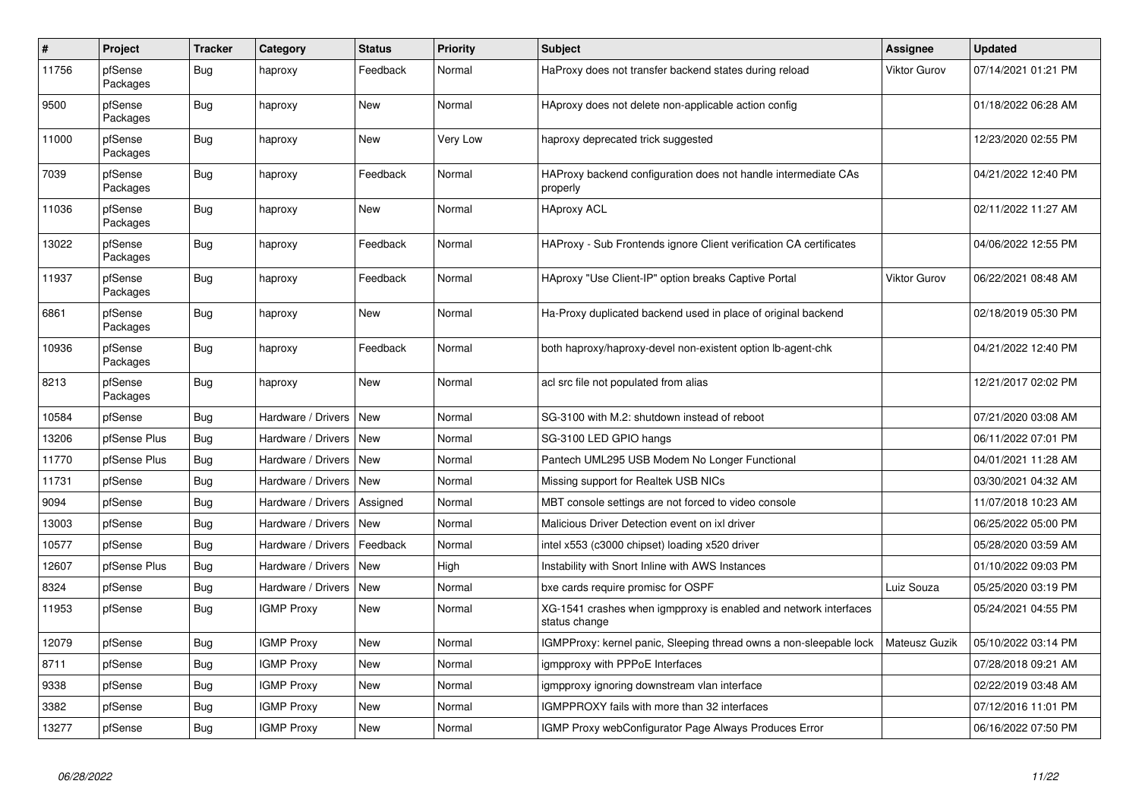| $\#$  | Project             | <b>Tracker</b> | Category           | <b>Status</b> | <b>Priority</b> | <b>Subject</b>                                                                    | Assignee            | <b>Updated</b>      |
|-------|---------------------|----------------|--------------------|---------------|-----------------|-----------------------------------------------------------------------------------|---------------------|---------------------|
| 11756 | pfSense<br>Packages | Bug            | haproxy            | Feedback      | Normal          | HaProxy does not transfer backend states during reload                            | Viktor Gurov        | 07/14/2021 01:21 PM |
| 9500  | pfSense<br>Packages | <b>Bug</b>     | haproxy            | New           | Normal          | HAproxy does not delete non-applicable action config                              |                     | 01/18/2022 06:28 AM |
| 11000 | pfSense<br>Packages | <b>Bug</b>     | haproxy            | <b>New</b>    | Very Low        | haproxy deprecated trick suggested                                                |                     | 12/23/2020 02:55 PM |
| 7039  | pfSense<br>Packages | <b>Bug</b>     | haproxy            | Feedback      | Normal          | HAProxy backend configuration does not handle intermediate CAs<br>properly        |                     | 04/21/2022 12:40 PM |
| 11036 | pfSense<br>Packages | <b>Bug</b>     | haproxy            | <b>New</b>    | Normal          | <b>HAproxy ACL</b>                                                                |                     | 02/11/2022 11:27 AM |
| 13022 | pfSense<br>Packages | <b>Bug</b>     | haproxy            | Feedback      | Normal          | HAProxy - Sub Frontends ignore Client verification CA certificates                |                     | 04/06/2022 12:55 PM |
| 11937 | pfSense<br>Packages | <b>Bug</b>     | haproxy            | Feedback      | Normal          | HAproxy "Use Client-IP" option breaks Captive Portal                              | <b>Viktor Gurov</b> | 06/22/2021 08:48 AM |
| 6861  | pfSense<br>Packages | Bug            | haproxy            | <b>New</b>    | Normal          | Ha-Proxy duplicated backend used in place of original backend                     |                     | 02/18/2019 05:30 PM |
| 10936 | pfSense<br>Packages | <b>Bug</b>     | haproxy            | Feedback      | Normal          | both haproxy/haproxy-devel non-existent option lb-agent-chk                       |                     | 04/21/2022 12:40 PM |
| 8213  | pfSense<br>Packages | <b>Bug</b>     | haproxy            | <b>New</b>    | Normal          | acl src file not populated from alias                                             |                     | 12/21/2017 02:02 PM |
| 10584 | pfSense             | <b>Bug</b>     | Hardware / Drivers | New           | Normal          | SG-3100 with M.2: shutdown instead of reboot                                      |                     | 07/21/2020 03:08 AM |
| 13206 | pfSense Plus        | <b>Bug</b>     | Hardware / Drivers | <b>New</b>    | Normal          | SG-3100 LED GPIO hangs                                                            |                     | 06/11/2022 07:01 PM |
| 11770 | pfSense Plus        | <b>Bug</b>     | Hardware / Drivers | New           | Normal          | Pantech UML295 USB Modem No Longer Functional                                     |                     | 04/01/2021 11:28 AM |
| 11731 | pfSense             | Bug            | Hardware / Drivers | <b>New</b>    | Normal          | Missing support for Realtek USB NICs                                              |                     | 03/30/2021 04:32 AM |
| 9094  | pfSense             | <b>Bug</b>     | Hardware / Drivers | Assigned      | Normal          | MBT console settings are not forced to video console                              |                     | 11/07/2018 10:23 AM |
| 13003 | pfSense             | Bug            | Hardware / Drivers | New           | Normal          | Malicious Driver Detection event on ixl driver                                    |                     | 06/25/2022 05:00 PM |
| 10577 | pfSense             | <b>Bug</b>     | Hardware / Drivers | Feedback      | Normal          | intel x553 (c3000 chipset) loading x520 driver                                    |                     | 05/28/2020 03:59 AM |
| 12607 | pfSense Plus        | Bug            | Hardware / Drivers | New           | High            | Instability with Snort Inline with AWS Instances                                  |                     | 01/10/2022 09:03 PM |
| 8324  | pfSense             | <b>Bug</b>     | Hardware / Drivers | New           | Normal          | bxe cards require promisc for OSPF                                                | Luiz Souza          | 05/25/2020 03:19 PM |
| 11953 | pfSense             | <b>Bug</b>     | <b>IGMP Proxy</b>  | New           | Normal          | XG-1541 crashes when igmpproxy is enabled and network interfaces<br>status change |                     | 05/24/2021 04:55 PM |
| 12079 | pfSense             | <b>Bug</b>     | <b>IGMP Proxy</b>  | New           | Normal          | IGMPProxy: kernel panic, Sleeping thread owns a non-sleepable lock                | Mateusz Guzik       | 05/10/2022 03:14 PM |
| 8711  | pfSense             | <b>Bug</b>     | <b>IGMP Proxy</b>  | New           | Normal          | igmpproxy with PPPoE Interfaces                                                   |                     | 07/28/2018 09:21 AM |
| 9338  | pfSense             | Bug            | <b>IGMP Proxy</b>  | <b>New</b>    | Normal          | igmpproxy ignoring downstream vlan interface                                      |                     | 02/22/2019 03:48 AM |
| 3382  | pfSense             | Bug            | <b>IGMP Proxy</b>  | <b>New</b>    | Normal          | IGMPPROXY fails with more than 32 interfaces                                      |                     | 07/12/2016 11:01 PM |
| 13277 | pfSense             | <b>Bug</b>     | <b>IGMP Proxy</b>  | <b>New</b>    | Normal          | IGMP Proxy webConfigurator Page Always Produces Error                             |                     | 06/16/2022 07:50 PM |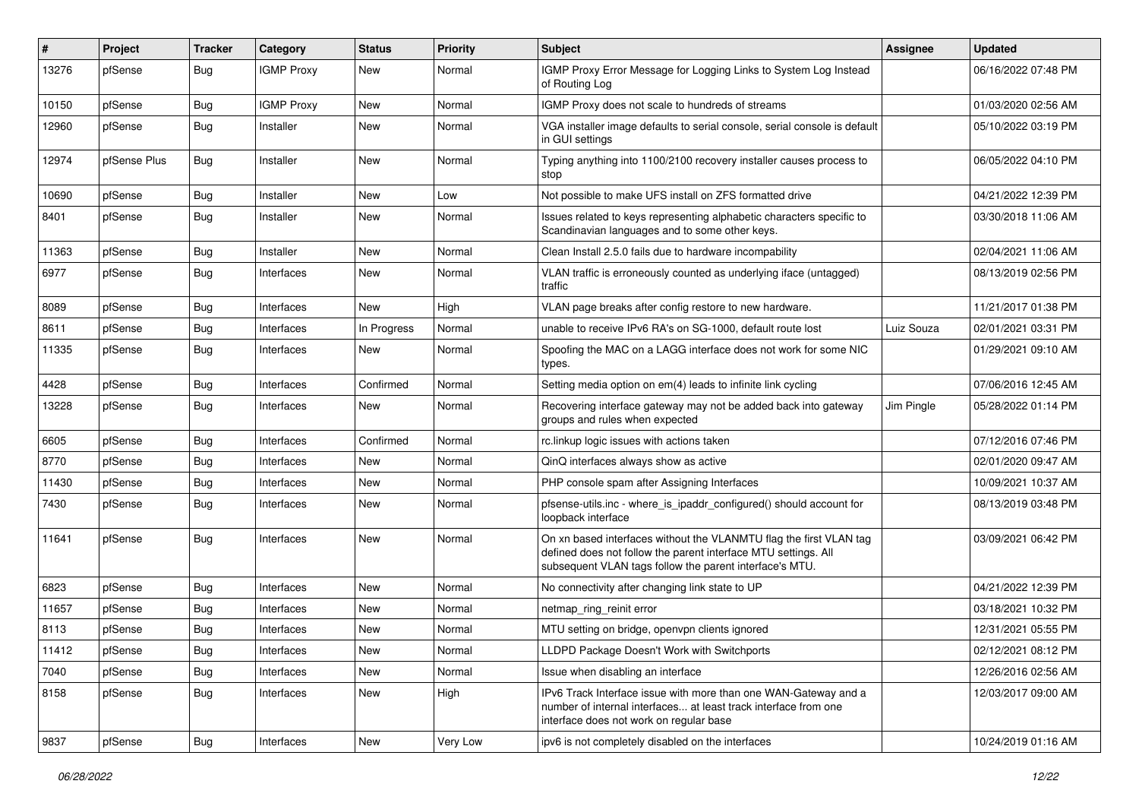| ∦     | Project      | <b>Tracker</b> | Category          | <b>Status</b> | <b>Priority</b> | <b>Subject</b>                                                                                                                                                                                  | <b>Assignee</b> | <b>Updated</b>      |
|-------|--------------|----------------|-------------------|---------------|-----------------|-------------------------------------------------------------------------------------------------------------------------------------------------------------------------------------------------|-----------------|---------------------|
| 13276 | pfSense      | <b>Bug</b>     | <b>IGMP Proxy</b> | <b>New</b>    | Normal          | IGMP Proxy Error Message for Logging Links to System Log Instead<br>of Routing Log                                                                                                              |                 | 06/16/2022 07:48 PM |
| 10150 | pfSense      | <b>Bug</b>     | <b>IGMP Proxy</b> | New           | Normal          | IGMP Proxy does not scale to hundreds of streams                                                                                                                                                |                 | 01/03/2020 02:56 AM |
| 12960 | pfSense      | <b>Bug</b>     | Installer         | <b>New</b>    | Normal          | VGA installer image defaults to serial console, serial console is default<br>in GUI settings                                                                                                    |                 | 05/10/2022 03:19 PM |
| 12974 | pfSense Plus | <b>Bug</b>     | Installer         | <b>New</b>    | Normal          | Typing anything into 1100/2100 recovery installer causes process to<br>stop                                                                                                                     |                 | 06/05/2022 04:10 PM |
| 10690 | pfSense      | Bug            | Installer         | <b>New</b>    | Low             | Not possible to make UFS install on ZFS formatted drive                                                                                                                                         |                 | 04/21/2022 12:39 PM |
| 8401  | pfSense      | <b>Bug</b>     | Installer         | <b>New</b>    | Normal          | Issues related to keys representing alphabetic characters specific to<br>Scandinavian languages and to some other keys.                                                                         |                 | 03/30/2018 11:06 AM |
| 11363 | pfSense      | <b>Bug</b>     | Installer         | New           | Normal          | Clean Install 2.5.0 fails due to hardware incompability                                                                                                                                         |                 | 02/04/2021 11:06 AM |
| 6977  | pfSense      | <b>Bug</b>     | Interfaces        | <b>New</b>    | Normal          | VLAN traffic is erroneously counted as underlying iface (untagged)<br>traffic                                                                                                                   |                 | 08/13/2019 02:56 PM |
| 8089  | pfSense      | <b>Bug</b>     | Interfaces        | <b>New</b>    | High            | VLAN page breaks after config restore to new hardware.                                                                                                                                          |                 | 11/21/2017 01:38 PM |
| 8611  | pfSense      | <b>Bug</b>     | Interfaces        | In Progress   | Normal          | unable to receive IPv6 RA's on SG-1000, default route lost                                                                                                                                      | Luiz Souza      | 02/01/2021 03:31 PM |
| 11335 | pfSense      | <b>Bug</b>     | Interfaces        | <b>New</b>    | Normal          | Spoofing the MAC on a LAGG interface does not work for some NIC<br>types.                                                                                                                       |                 | 01/29/2021 09:10 AM |
| 4428  | pfSense      | <b>Bug</b>     | Interfaces        | Confirmed     | Normal          | Setting media option on em(4) leads to infinite link cycling                                                                                                                                    |                 | 07/06/2016 12:45 AM |
| 13228 | pfSense      | Bug            | Interfaces        | New           | Normal          | Recovering interface gateway may not be added back into gateway<br>groups and rules when expected                                                                                               | Jim Pingle      | 05/28/2022 01:14 PM |
| 6605  | pfSense      | Bug            | Interfaces        | Confirmed     | Normal          | rc.linkup logic issues with actions taken                                                                                                                                                       |                 | 07/12/2016 07:46 PM |
| 8770  | pfSense      | <b>Bug</b>     | Interfaces        | New           | Normal          | QinQ interfaces always show as active                                                                                                                                                           |                 | 02/01/2020 09:47 AM |
| 11430 | pfSense      | <b>Bug</b>     | Interfaces        | New           | Normal          | PHP console spam after Assigning Interfaces                                                                                                                                                     |                 | 10/09/2021 10:37 AM |
| 7430  | pfSense      | <b>Bug</b>     | Interfaces        | <b>New</b>    | Normal          | pfsense-utils.inc - where_is_ipaddr_configured() should account for<br>loopback interface                                                                                                       |                 | 08/13/2019 03:48 PM |
| 11641 | pfSense      | Bug            | Interfaces        | <b>New</b>    | Normal          | On xn based interfaces without the VLANMTU flag the first VLAN tag<br>defined does not follow the parent interface MTU settings. All<br>subsequent VLAN tags follow the parent interface's MTU. |                 | 03/09/2021 06:42 PM |
| 6823  | pfSense      | <b>Bug</b>     | Interfaces        | <b>New</b>    | Normal          | No connectivity after changing link state to UP                                                                                                                                                 |                 | 04/21/2022 12:39 PM |
| 11657 | pfSense      | <b>Bug</b>     | Interfaces        | New           | Normal          | netmap ring reinit error                                                                                                                                                                        |                 | 03/18/2021 10:32 PM |
| 8113  | pfSense      | <b>Bug</b>     | Interfaces        | <b>New</b>    | Normal          | MTU setting on bridge, openvpn clients ignored                                                                                                                                                  |                 | 12/31/2021 05:55 PM |
| 11412 | pfSense      | Bug            | Interfaces        | New           | Normal          | LLDPD Package Doesn't Work with Switchports                                                                                                                                                     |                 | 02/12/2021 08:12 PM |
| 7040  | pfSense      | Bug            | Interfaces        | New           | Normal          | Issue when disabling an interface                                                                                                                                                               |                 | 12/26/2016 02:56 AM |
| 8158  | pfSense      | Bug            | Interfaces        | New           | High            | IPv6 Track Interface issue with more than one WAN-Gateway and a<br>number of internal interfaces at least track interface from one<br>interface does not work on regular base                   |                 | 12/03/2017 09:00 AM |
| 9837  | pfSense      | <b>Bug</b>     | Interfaces        | New           | Very Low        | ipv6 is not completely disabled on the interfaces                                                                                                                                               |                 | 10/24/2019 01:16 AM |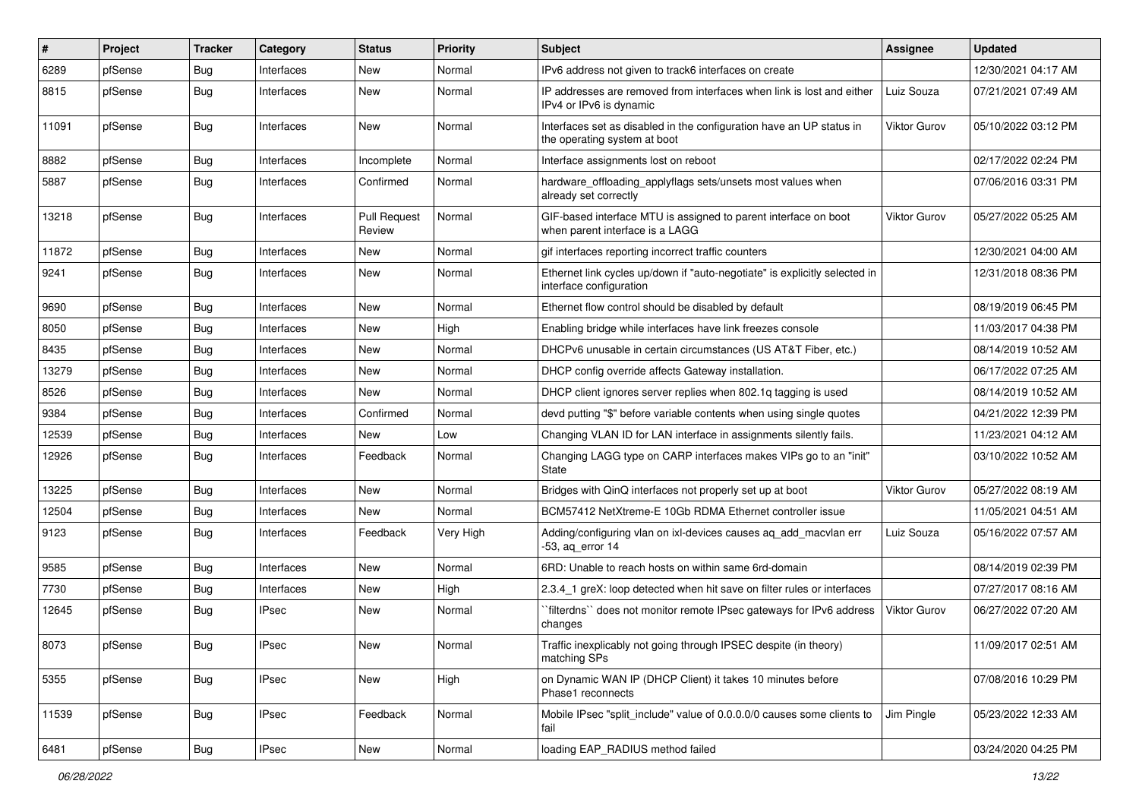| #     | Project | <b>Tracker</b> | Category     | <b>Status</b>                 | <b>Priority</b> | <b>Subject</b>                                                                                        | <b>Assignee</b>     | <b>Updated</b>      |
|-------|---------|----------------|--------------|-------------------------------|-----------------|-------------------------------------------------------------------------------------------------------|---------------------|---------------------|
| 6289  | pfSense | <b>Bug</b>     | Interfaces   | <b>New</b>                    | Normal          | IPv6 address not given to track6 interfaces on create                                                 |                     | 12/30/2021 04:17 AM |
| 8815  | pfSense | <b>Bug</b>     | Interfaces   | <b>New</b>                    | Normal          | IP addresses are removed from interfaces when link is lost and either<br>IPv4 or IPv6 is dynamic      | Luiz Souza          | 07/21/2021 07:49 AM |
| 11091 | pfSense | <b>Bug</b>     | Interfaces   | <b>New</b>                    | Normal          | Interfaces set as disabled in the configuration have an UP status in<br>the operating system at boot  | <b>Viktor Gurov</b> | 05/10/2022 03:12 PM |
| 8882  | pfSense | <b>Bug</b>     | Interfaces   | Incomplete                    | Normal          | Interface assignments lost on reboot                                                                  |                     | 02/17/2022 02:24 PM |
| 5887  | pfSense | Bug            | Interfaces   | Confirmed                     | Normal          | hardware_offloading_applyflags sets/unsets most values when<br>already set correctly                  |                     | 07/06/2016 03:31 PM |
| 13218 | pfSense | <b>Bug</b>     | Interfaces   | <b>Pull Request</b><br>Review | Normal          | GIF-based interface MTU is assigned to parent interface on boot<br>when parent interface is a LAGG    | Viktor Gurov        | 05/27/2022 05:25 AM |
| 11872 | pfSense | <b>Bug</b>     | Interfaces   | <b>New</b>                    | Normal          | gif interfaces reporting incorrect traffic counters                                                   |                     | 12/30/2021 04:00 AM |
| 9241  | pfSense | Bug            | Interfaces   | <b>New</b>                    | Normal          | Ethernet link cycles up/down if "auto-negotiate" is explicitly selected in<br>interface configuration |                     | 12/31/2018 08:36 PM |
| 9690  | pfSense | <b>Bug</b>     | Interfaces   | New                           | Normal          | Ethernet flow control should be disabled by default                                                   |                     | 08/19/2019 06:45 PM |
| 8050  | pfSense | <b>Bug</b>     | Interfaces   | New                           | High            | Enabling bridge while interfaces have link freezes console                                            |                     | 11/03/2017 04:38 PM |
| 8435  | pfSense | <b>Bug</b>     | Interfaces   | <b>New</b>                    | Normal          | DHCPv6 unusable in certain circumstances (US AT&T Fiber, etc.)                                        |                     | 08/14/2019 10:52 AM |
| 13279 | pfSense | Bug            | Interfaces   | New                           | Normal          | DHCP config override affects Gateway installation.                                                    |                     | 06/17/2022 07:25 AM |
| 8526  | pfSense | <b>Bug</b>     | Interfaces   | <b>New</b>                    | Normal          | DHCP client ignores server replies when 802.1q tagging is used                                        |                     | 08/14/2019 10:52 AM |
| 9384  | pfSense | <b>Bug</b>     | Interfaces   | Confirmed                     | Normal          | devd putting "\$" before variable contents when using single quotes                                   |                     | 04/21/2022 12:39 PM |
| 12539 | pfSense | Bug            | Interfaces   | <b>New</b>                    | Low             | Changing VLAN ID for LAN interface in assignments silently fails.                                     |                     | 11/23/2021 04:12 AM |
| 12926 | pfSense | <b>Bug</b>     | Interfaces   | Feedback                      | Normal          | Changing LAGG type on CARP interfaces makes VIPs go to an "init"<br>State                             |                     | 03/10/2022 10:52 AM |
| 13225 | pfSense | <b>Bug</b>     | Interfaces   | New                           | Normal          | Bridges with QinQ interfaces not properly set up at boot                                              | <b>Viktor Gurov</b> | 05/27/2022 08:19 AM |
| 12504 | pfSense | <b>Bug</b>     | Interfaces   | <b>New</b>                    | Normal          | BCM57412 NetXtreme-E 10Gb RDMA Ethernet controller issue                                              |                     | 11/05/2021 04:51 AM |
| 9123  | pfSense | Bug            | Interfaces   | Feedback                      | Very High       | Adding/configuring vlan on ixl-devices causes ag add macvlan err<br>$-53$ , aq_error 14               | Luiz Souza          | 05/16/2022 07:57 AM |
| 9585  | pfSense | <b>Bug</b>     | Interfaces   | New                           | Normal          | 6RD: Unable to reach hosts on within same 6rd-domain                                                  |                     | 08/14/2019 02:39 PM |
| 7730  | pfSense | <b>Bug</b>     | Interfaces   | <b>New</b>                    | High            | 2.3.4_1 greX: loop detected when hit save on filter rules or interfaces                               |                     | 07/27/2017 08:16 AM |
| 12645 | pfSense | <b>Bug</b>     | <b>IPsec</b> | <b>New</b>                    | Normal          | `filterdns`` does not monitor remote IPsec gateways for IPv6 address<br>changes                       | <b>Viktor Gurov</b> | 06/27/2022 07:20 AM |
| 8073  | pfSense | <b>Bug</b>     | <b>IPsec</b> | New                           | Normal          | Traffic inexplicably not going through IPSEC despite (in theory)<br>matching SPs                      |                     | 11/09/2017 02:51 AM |
| 5355  | pfSense | Bug            | <b>IPsec</b> | New                           | High            | on Dynamic WAN IP (DHCP Client) it takes 10 minutes before<br>Phase1 reconnects                       |                     | 07/08/2016 10:29 PM |
| 11539 | pfSense | <b>Bug</b>     | <b>IPsec</b> | Feedback                      | Normal          | Mobile IPsec "split_include" value of 0.0.0.0/0 causes some clients to<br>fail                        | Jim Pingle          | 05/23/2022 12:33 AM |
| 6481  | pfSense | <b>Bug</b>     | IPsec        | New                           | Normal          | loading EAP RADIUS method failed                                                                      |                     | 03/24/2020 04:25 PM |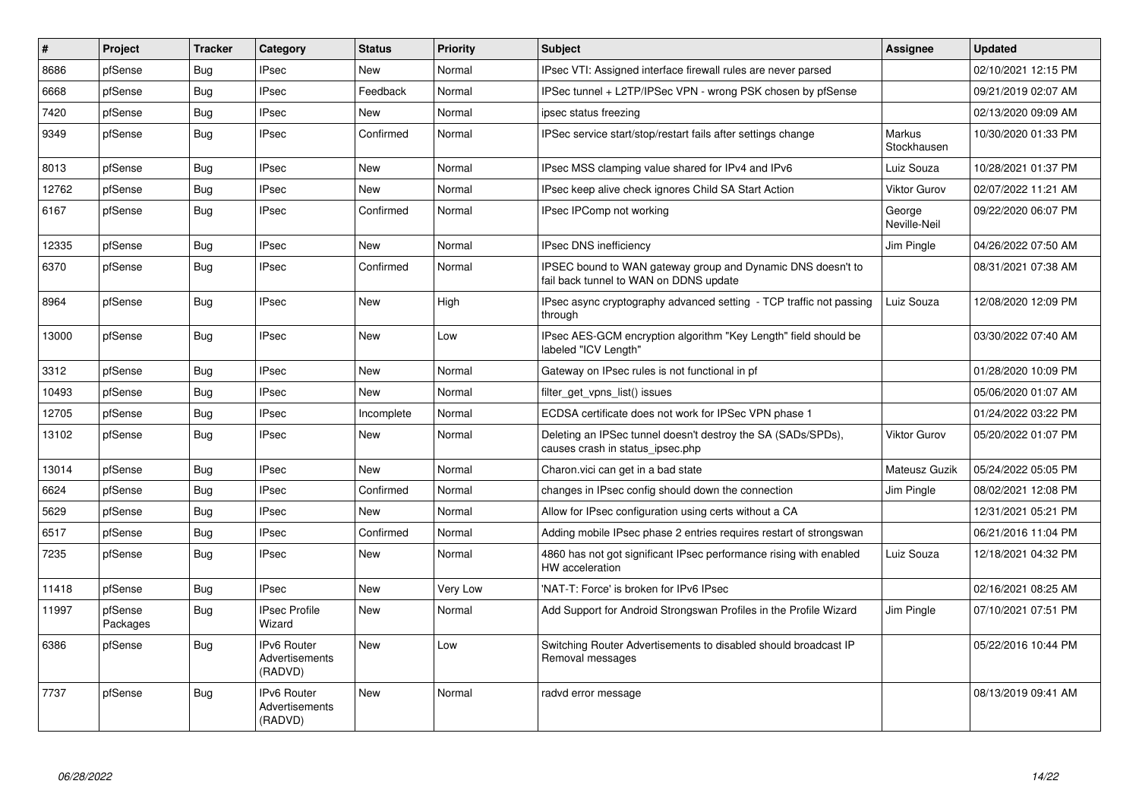| #     | Project             | <b>Tracker</b> | Category                                        | <b>Status</b> | <b>Priority</b> | <b>Subject</b>                                                                                        | Assignee               | <b>Updated</b>      |
|-------|---------------------|----------------|-------------------------------------------------|---------------|-----------------|-------------------------------------------------------------------------------------------------------|------------------------|---------------------|
| 8686  | pfSense             | <b>Bug</b>     | <b>IPsec</b>                                    | <b>New</b>    | Normal          | IPsec VTI: Assigned interface firewall rules are never parsed                                         |                        | 02/10/2021 12:15 PM |
| 6668  | pfSense             | <b>Bug</b>     | <b>IPsec</b>                                    | Feedback      | Normal          | IPSec tunnel + L2TP/IPSec VPN - wrong PSK chosen by pfSense                                           |                        | 09/21/2019 02:07 AM |
| 7420  | pfSense             | Bug            | <b>IPsec</b>                                    | New           | Normal          | ipsec status freezing                                                                                 |                        | 02/13/2020 09:09 AM |
| 9349  | pfSense             | <b>Bug</b>     | <b>IPsec</b>                                    | Confirmed     | Normal          | IPSec service start/stop/restart fails after settings change                                          | Markus<br>Stockhausen  | 10/30/2020 01:33 PM |
| 8013  | pfSense             | <b>Bug</b>     | <b>IPsec</b>                                    | New           | Normal          | IPsec MSS clamping value shared for IPv4 and IPv6                                                     | Luiz Souza             | 10/28/2021 01:37 PM |
| 12762 | pfSense             | Bug            | <b>IPsec</b>                                    | <b>New</b>    | Normal          | IPsec keep alive check ignores Child SA Start Action                                                  | <b>Viktor Gurov</b>    | 02/07/2022 11:21 AM |
| 6167  | pfSense             | <b>Bug</b>     | <b>IPsec</b>                                    | Confirmed     | Normal          | IPsec IPComp not working                                                                              | George<br>Neville-Neil | 09/22/2020 06:07 PM |
| 12335 | pfSense             | Bug            | <b>IPsec</b>                                    | <b>New</b>    | Normal          | IPsec DNS inefficiency                                                                                | Jim Pingle             | 04/26/2022 07:50 AM |
| 6370  | pfSense             | Bug            | <b>IPsec</b>                                    | Confirmed     | Normal          | IPSEC bound to WAN gateway group and Dynamic DNS doesn't to<br>fail back tunnel to WAN on DDNS update |                        | 08/31/2021 07:38 AM |
| 8964  | pfSense             | Bug            | <b>IPsec</b>                                    | <b>New</b>    | High            | IPsec async cryptography advanced setting - TCP traffic not passing<br>through                        | Luiz Souza             | 12/08/2020 12:09 PM |
| 13000 | pfSense             | <b>Bug</b>     | <b>IPsec</b>                                    | <b>New</b>    | Low             | IPsec AES-GCM encryption algorithm "Key Length" field should be<br>labeled "ICV Length"               |                        | 03/30/2022 07:40 AM |
| 3312  | pfSense             | Bug            | <b>IPsec</b>                                    | <b>New</b>    | Normal          | Gateway on IPsec rules is not functional in pf                                                        |                        | 01/28/2020 10:09 PM |
| 10493 | pfSense             | <b>Bug</b>     | <b>IPsec</b>                                    | <b>New</b>    | Normal          | filter get vpns list() issues                                                                         |                        | 05/06/2020 01:07 AM |
| 12705 | pfSense             | Bug            | <b>IPsec</b>                                    | Incomplete    | Normal          | ECDSA certificate does not work for IPSec VPN phase 1                                                 |                        | 01/24/2022 03:22 PM |
| 13102 | pfSense             | <b>Bug</b>     | <b>IPsec</b>                                    | <b>New</b>    | Normal          | Deleting an IPSec tunnel doesn't destroy the SA (SADs/SPDs).<br>causes crash in status ipsec.php      | Viktor Gurov           | 05/20/2022 01:07 PM |
| 13014 | pfSense             | Bug            | <b>IPsec</b>                                    | <b>New</b>    | Normal          | Charon.vici can get in a bad state                                                                    | Mateusz Guzik          | 05/24/2022 05:05 PM |
| 6624  | pfSense             | <b>Bug</b>     | <b>IPsec</b>                                    | Confirmed     | Normal          | changes in IPsec config should down the connection                                                    | Jim Pingle             | 08/02/2021 12:08 PM |
| 5629  | pfSense             | <b>Bug</b>     | <b>IPsec</b>                                    | New           | Normal          | Allow for IPsec configuration using certs without a CA                                                |                        | 12/31/2021 05:21 PM |
| 6517  | pfSense             | Bug            | <b>IPsec</b>                                    | Confirmed     | Normal          | Adding mobile IPsec phase 2 entries requires restart of strongswan                                    |                        | 06/21/2016 11:04 PM |
| 7235  | pfSense             | <b>Bug</b>     | <b>IPsec</b>                                    | <b>New</b>    | Normal          | 4860 has not got significant IPsec performance rising with enabled<br>HW acceleration                 | Luiz Souza             | 12/18/2021 04:32 PM |
| 11418 | pfSense             | Bug            | <b>IPsec</b>                                    | <b>New</b>    | Very Low        | 'NAT-T: Force' is broken for IPv6 IPsec                                                               |                        | 02/16/2021 08:25 AM |
| 11997 | pfSense<br>Packages | Bug            | <b>IPsec Profile</b><br>Wizard                  | <b>New</b>    | Normal          | Add Support for Android Strongswan Profiles in the Profile Wizard                                     | Jim Pingle             | 07/10/2021 07:51 PM |
| 6386  | pfSense             | <b>Bug</b>     | IPv6 Router<br>Advertisements<br>(RADVD)        | <b>New</b>    | Low             | Switching Router Advertisements to disabled should broadcast IP<br>Removal messages                   |                        | 05/22/2016 10:44 PM |
| 7737  | pfSense             | <b>Bug</b>     | <b>IPv6 Router</b><br>Advertisements<br>(RADVD) | <b>New</b>    | Normal          | radvd error message                                                                                   |                        | 08/13/2019 09:41 AM |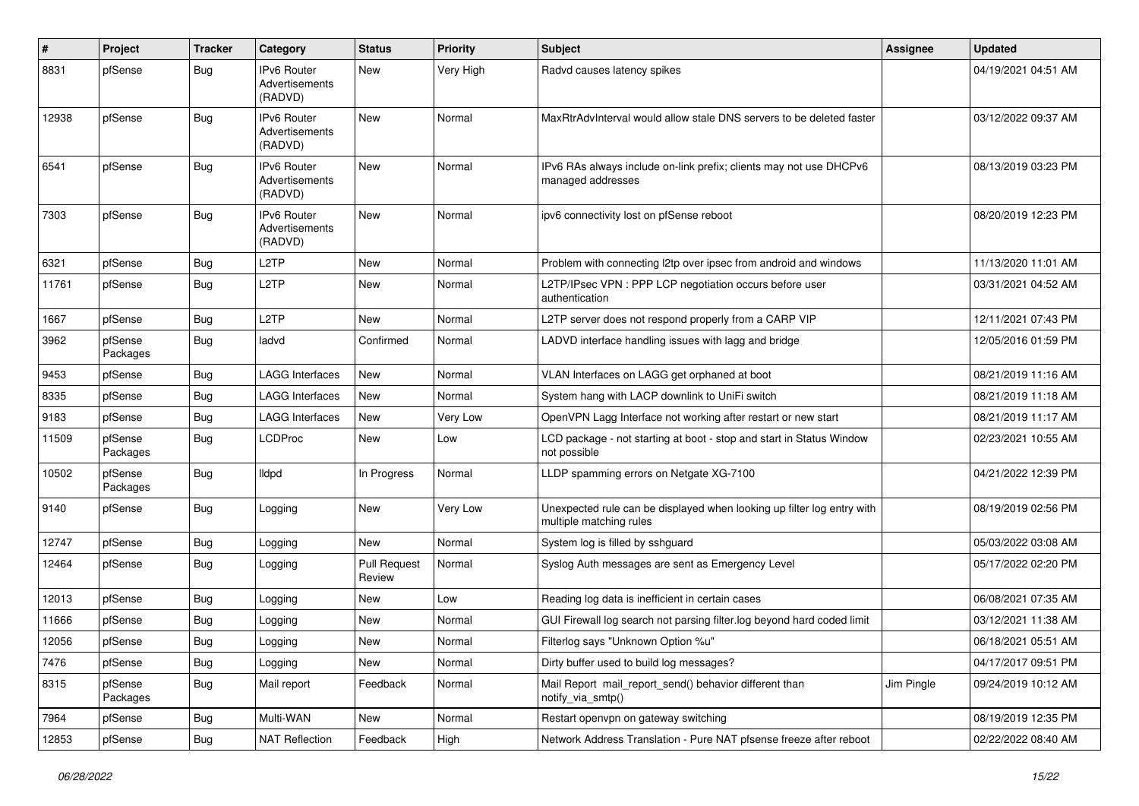| #     | Project             | <b>Tracker</b> | Category                                        | <b>Status</b>                 | Priority  | Subject                                                                                           | <b>Assignee</b> | <b>Updated</b>      |
|-------|---------------------|----------------|-------------------------------------------------|-------------------------------|-----------|---------------------------------------------------------------------------------------------------|-----------------|---------------------|
| 8831  | pfSense             | <b>Bug</b>     | <b>IPv6 Router</b><br>Advertisements<br>(RADVD) | New                           | Very High | Radvd causes latency spikes                                                                       |                 | 04/19/2021 04:51 AM |
| 12938 | pfSense             | Bug            | <b>IPv6 Router</b><br>Advertisements<br>(RADVD) | New                           | Normal    | MaxRtrAdvInterval would allow stale DNS servers to be deleted faster                              |                 | 03/12/2022 09:37 AM |
| 6541  | pfSense             | Bug            | IPv6 Router<br>Advertisements<br>(RADVD)        | New                           | Normal    | IPv6 RAs always include on-link prefix; clients may not use DHCPv6<br>managed addresses           |                 | 08/13/2019 03:23 PM |
| 7303  | pfSense             | Bug            | IPv6 Router<br><b>Advertisements</b><br>(RADVD) | New                           | Normal    | ipv6 connectivity lost on pfSense reboot                                                          |                 | 08/20/2019 12:23 PM |
| 6321  | pfSense             | <b>Bug</b>     | L <sub>2</sub> TP                               | New                           | Normal    | Problem with connecting I2tp over ipsec from android and windows                                  |                 | 11/13/2020 11:01 AM |
| 11761 | pfSense             | <b>Bug</b>     | L <sub>2</sub> TP                               | New                           | Normal    | L2TP/IPsec VPN : PPP LCP negotiation occurs before user<br>authentication                         |                 | 03/31/2021 04:52 AM |
| 1667  | pfSense             | <b>Bug</b>     | L <sub>2</sub> TP                               | <b>New</b>                    | Normal    | L2TP server does not respond properly from a CARP VIP                                             |                 | 12/11/2021 07:43 PM |
| 3962  | pfSense<br>Packages | <b>Bug</b>     | ladvd                                           | Confirmed                     | Normal    | LADVD interface handling issues with lagg and bridge                                              |                 | 12/05/2016 01:59 PM |
| 9453  | pfSense             | Bug            | <b>LAGG Interfaces</b>                          | <b>New</b>                    | Normal    | VLAN Interfaces on LAGG get orphaned at boot                                                      |                 | 08/21/2019 11:16 AM |
| 8335  | pfSense             | <b>Bug</b>     | <b>LAGG Interfaces</b>                          | <b>New</b>                    | Normal    | System hang with LACP downlink to UniFi switch                                                    |                 | 08/21/2019 11:18 AM |
| 9183  | pfSense             | <b>Bug</b>     | <b>LAGG Interfaces</b>                          | New                           | Very Low  | OpenVPN Lagg Interface not working after restart or new start                                     |                 | 08/21/2019 11:17 AM |
| 11509 | pfSense<br>Packages | <b>Bug</b>     | <b>LCDProc</b>                                  | New                           | Low       | LCD package - not starting at boot - stop and start in Status Window<br>not possible              |                 | 02/23/2021 10:55 AM |
| 10502 | pfSense<br>Packages | <b>Bug</b>     | lldpd                                           | In Progress                   | Normal    | LLDP spamming errors on Netgate XG-7100                                                           |                 | 04/21/2022 12:39 PM |
| 9140  | pfSense             | <b>Bug</b>     | Logging                                         | New                           | Very Low  | Unexpected rule can be displayed when looking up filter log entry with<br>multiple matching rules |                 | 08/19/2019 02:56 PM |
| 12747 | pfSense             | <b>Bug</b>     | Logging                                         | New                           | Normal    | System log is filled by sshguard                                                                  |                 | 05/03/2022 03:08 AM |
| 12464 | pfSense             | Bug            | Logging                                         | <b>Pull Request</b><br>Review | Normal    | Syslog Auth messages are sent as Emergency Level                                                  |                 | 05/17/2022 02:20 PM |
| 12013 | pfSense             | Bug            | Logging                                         | New                           | Low       | Reading log data is inefficient in certain cases                                                  |                 | 06/08/2021 07:35 AM |
| 11666 | pfSense             | <b>Bug</b>     | Logging                                         | New                           | Normal    | GUI Firewall log search not parsing filter.log beyond hard coded limit                            |                 | 03/12/2021 11:38 AM |
| 12056 | pfSense             | Bug            | Logging                                         | New                           | Normal    | Filterlog says "Unknown Option %u"                                                                |                 | 06/18/2021 05:51 AM |
| 7476  | pfSense             | Bug            | Logging                                         | New                           | Normal    | Dirty buffer used to build log messages?                                                          |                 | 04/17/2017 09:51 PM |
| 8315  | pfSense<br>Packages | <b>Bug</b>     | Mail report                                     | Feedback                      | Normal    | Mail Report mail_report_send() behavior different than<br>notify_via_smtp()                       | Jim Pingle      | 09/24/2019 10:12 AM |
| 7964  | pfSense             | Bug            | Multi-WAN                                       | New                           | Normal    | Restart openvpn on gateway switching                                                              |                 | 08/19/2019 12:35 PM |
| 12853 | pfSense             | Bug            | <b>NAT Reflection</b>                           | Feedback                      | High      | Network Address Translation - Pure NAT pfsense freeze after reboot                                |                 | 02/22/2022 08:40 AM |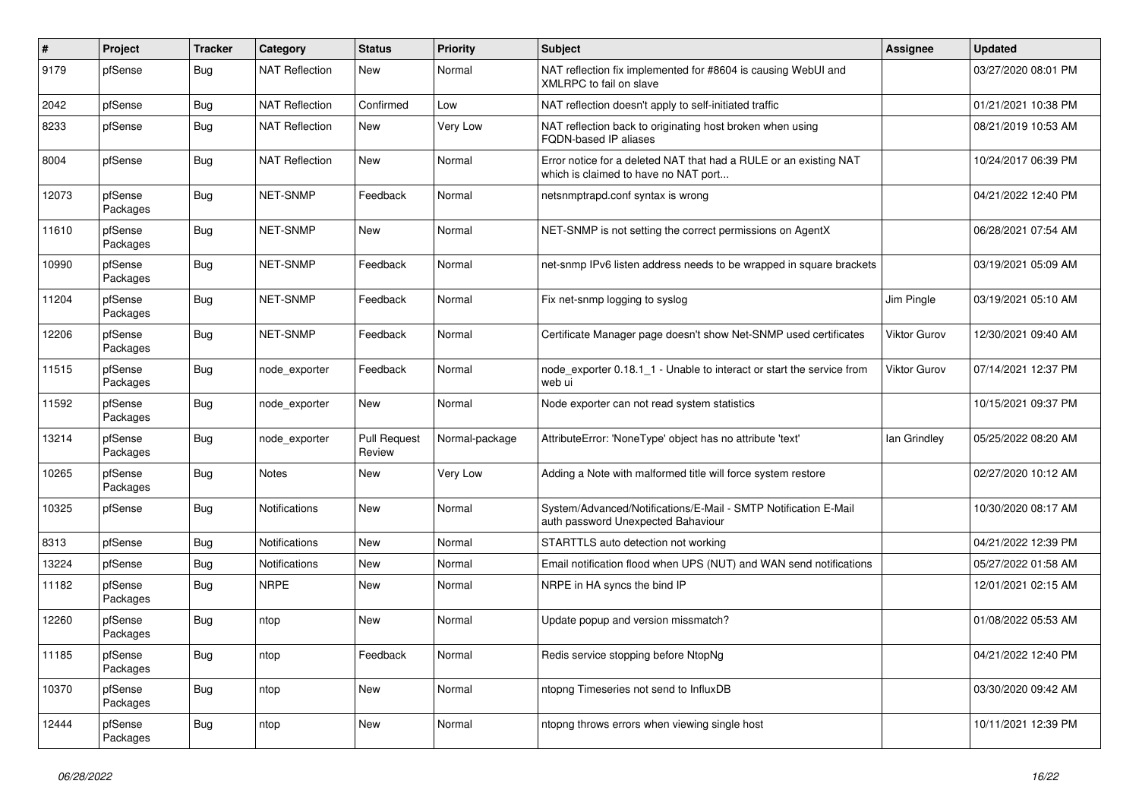| $\pmb{\#}$ | Project             | <b>Tracker</b> | Category              | <b>Status</b>                 | <b>Priority</b> | Subject                                                                                                   | <b>Assignee</b>     | <b>Updated</b>      |
|------------|---------------------|----------------|-----------------------|-------------------------------|-----------------|-----------------------------------------------------------------------------------------------------------|---------------------|---------------------|
| 9179       | pfSense             | <b>Bug</b>     | <b>NAT Reflection</b> | New                           | Normal          | NAT reflection fix implemented for #8604 is causing WebUI and<br>XMLRPC to fail on slave                  |                     | 03/27/2020 08:01 PM |
| 2042       | pfSense             | <b>Bug</b>     | <b>NAT Reflection</b> | Confirmed                     | Low             | NAT reflection doesn't apply to self-initiated traffic                                                    |                     | 01/21/2021 10:38 PM |
| 8233       | pfSense             | <b>Bug</b>     | <b>NAT Reflection</b> | New                           | Very Low        | NAT reflection back to originating host broken when using<br>FQDN-based IP aliases                        |                     | 08/21/2019 10:53 AM |
| 8004       | pfSense             | <b>Bug</b>     | <b>NAT Reflection</b> | <b>New</b>                    | Normal          | Error notice for a deleted NAT that had a RULE or an existing NAT<br>which is claimed to have no NAT port |                     | 10/24/2017 06:39 PM |
| 12073      | pfSense<br>Packages | <b>Bug</b>     | <b>NET-SNMP</b>       | Feedback                      | Normal          | netsnmptrapd.conf syntax is wrong                                                                         |                     | 04/21/2022 12:40 PM |
| 11610      | pfSense<br>Packages | <b>Bug</b>     | <b>NET-SNMP</b>       | New                           | Normal          | NET-SNMP is not setting the correct permissions on AgentX                                                 |                     | 06/28/2021 07:54 AM |
| 10990      | pfSense<br>Packages | <b>Bug</b>     | NET-SNMP              | Feedback                      | Normal          | net-snmp IPv6 listen address needs to be wrapped in square brackets                                       |                     | 03/19/2021 05:09 AM |
| 11204      | pfSense<br>Packages | <b>Bug</b>     | NET-SNMP              | Feedback                      | Normal          | Fix net-snmp logging to syslog                                                                            | Jim Pingle          | 03/19/2021 05:10 AM |
| 12206      | pfSense<br>Packages | <b>Bug</b>     | NET-SNMP              | Feedback                      | Normal          | Certificate Manager page doesn't show Net-SNMP used certificates                                          | Viktor Gurov        | 12/30/2021 09:40 AM |
| 11515      | pfSense<br>Packages | <b>Bug</b>     | node_exporter         | Feedback                      | Normal          | node exporter 0.18.1 1 - Unable to interact or start the service from<br>web ui                           | <b>Viktor Gurov</b> | 07/14/2021 12:37 PM |
| 11592      | pfSense<br>Packages | <b>Bug</b>     | node exporter         | New                           | Normal          | Node exporter can not read system statistics                                                              |                     | 10/15/2021 09:37 PM |
| 13214      | pfSense<br>Packages | Bug            | node exporter         | <b>Pull Request</b><br>Review | Normal-package  | AttributeError: 'NoneType' object has no attribute 'text'                                                 | lan Grindley        | 05/25/2022 08:20 AM |
| 10265      | pfSense<br>Packages | <b>Bug</b>     | <b>Notes</b>          | <b>New</b>                    | Very Low        | Adding a Note with malformed title will force system restore                                              |                     | 02/27/2020 10:12 AM |
| 10325      | pfSense             | <b>Bug</b>     | <b>Notifications</b>  | New                           | Normal          | System/Advanced/Notifications/E-Mail - SMTP Notification E-Mail<br>auth password Unexpected Bahaviour     |                     | 10/30/2020 08:17 AM |
| 8313       | pfSense             | <b>Bug</b>     | <b>Notifications</b>  | <b>New</b>                    | Normal          | STARTTLS auto detection not working                                                                       |                     | 04/21/2022 12:39 PM |
| 13224      | pfSense             | <b>Bug</b>     | <b>Notifications</b>  | New                           | Normal          | Email notification flood when UPS (NUT) and WAN send notifications                                        |                     | 05/27/2022 01:58 AM |
| 11182      | pfSense<br>Packages | Bug            | <b>NRPE</b>           | New                           | Normal          | NRPE in HA syncs the bind IP                                                                              |                     | 12/01/2021 02:15 AM |
| 12260      | pfSense<br>Packages | <b>Bug</b>     | ntop                  | New                           | Normal          | Update popup and version missmatch?                                                                       |                     | 01/08/2022 05:53 AM |
| 11185      | pfSense<br>Packages | <b>Bug</b>     | ntop                  | Feedback                      | Normal          | Redis service stopping before NtopNg                                                                      |                     | 04/21/2022 12:40 PM |
| 10370      | pfSense<br>Packages | <b>Bug</b>     | ntop                  | New                           | Normal          | ntopng Timeseries not send to InfluxDB                                                                    |                     | 03/30/2020 09:42 AM |
| 12444      | pfSense<br>Packages | <b>Bug</b>     | ntop                  | New                           | Normal          | ntopng throws errors when viewing single host                                                             |                     | 10/11/2021 12:39 PM |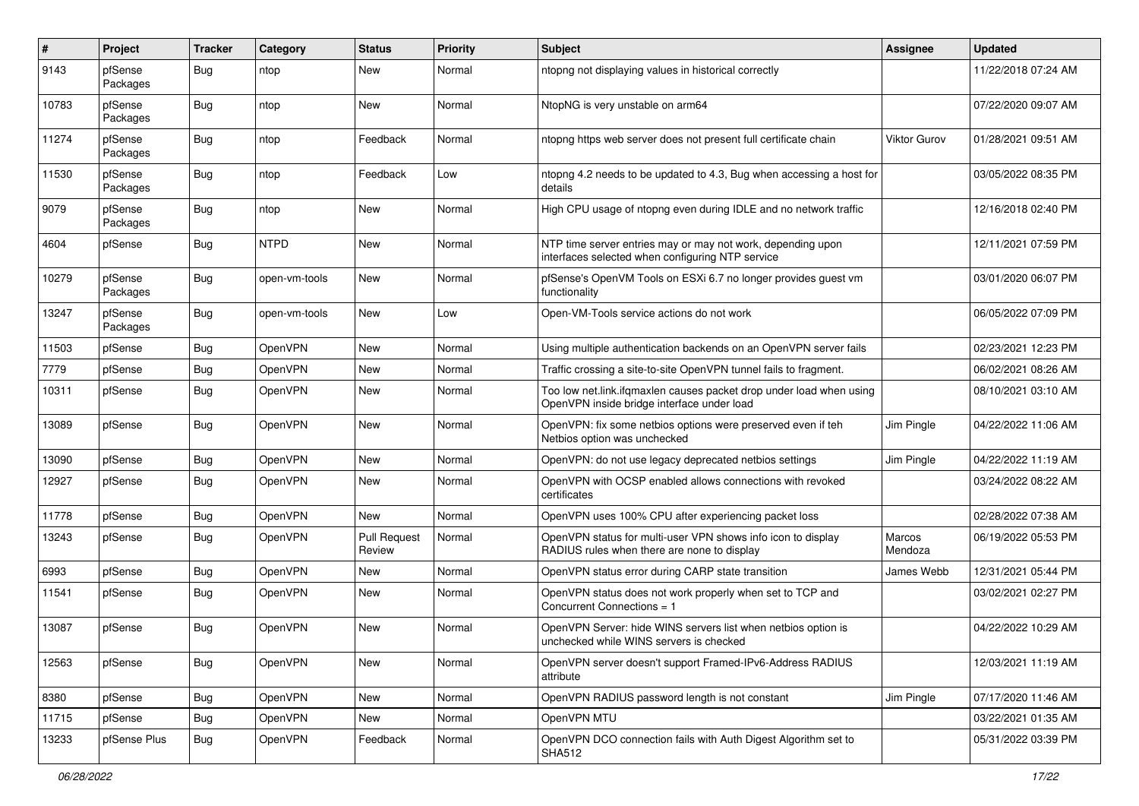| #     | Project             | <b>Tracker</b> | Category       | <b>Status</b>                 | <b>Priority</b> | Subject                                                                                                           | <b>Assignee</b>   | <b>Updated</b>      |
|-------|---------------------|----------------|----------------|-------------------------------|-----------------|-------------------------------------------------------------------------------------------------------------------|-------------------|---------------------|
| 9143  | pfSense<br>Packages | Bug            | ntop           | <b>New</b>                    | Normal          | ntopng not displaying values in historical correctly                                                              |                   | 11/22/2018 07:24 AM |
| 10783 | pfSense<br>Packages | <b>Bug</b>     | ntop           | <b>New</b>                    | Normal          | NtopNG is very unstable on arm64                                                                                  |                   | 07/22/2020 09:07 AM |
| 11274 | pfSense<br>Packages | <b>Bug</b>     | ntop           | Feedback                      | Normal          | ntopng https web server does not present full certificate chain                                                   | Viktor Gurov      | 01/28/2021 09:51 AM |
| 11530 | pfSense<br>Packages | <b>Bug</b>     | ntop           | Feedback                      | Low             | ntopng 4.2 needs to be updated to 4.3, Bug when accessing a host for<br>details                                   |                   | 03/05/2022 08:35 PM |
| 9079  | pfSense<br>Packages | <b>Bug</b>     | ntop           | <b>New</b>                    | Normal          | High CPU usage of ntopng even during IDLE and no network traffic                                                  |                   | 12/16/2018 02:40 PM |
| 4604  | pfSense             | <b>Bug</b>     | <b>NTPD</b>    | <b>New</b>                    | Normal          | NTP time server entries may or may not work, depending upon<br>interfaces selected when configuring NTP service   |                   | 12/11/2021 07:59 PM |
| 10279 | pfSense<br>Packages | <b>Bug</b>     | open-vm-tools  | <b>New</b>                    | Normal          | pfSense's OpenVM Tools on ESXi 6.7 no longer provides guest vm<br>functionality                                   |                   | 03/01/2020 06:07 PM |
| 13247 | pfSense<br>Packages | <b>Bug</b>     | open-vm-tools  | <b>New</b>                    | Low             | Open-VM-Tools service actions do not work                                                                         |                   | 06/05/2022 07:09 PM |
| 11503 | pfSense             | <b>Bug</b>     | OpenVPN        | <b>New</b>                    | Normal          | Using multiple authentication backends on an OpenVPN server fails                                                 |                   | 02/23/2021 12:23 PM |
| 7779  | pfSense             | <b>Bug</b>     | OpenVPN        | <b>New</b>                    | Normal          | Traffic crossing a site-to-site OpenVPN tunnel fails to fragment.                                                 |                   | 06/02/2021 08:26 AM |
| 10311 | pfSense             | <b>Bug</b>     | <b>OpenVPN</b> | <b>New</b>                    | Normal          | Too low net.link.ifqmaxlen causes packet drop under load when using<br>OpenVPN inside bridge interface under load |                   | 08/10/2021 03:10 AM |
| 13089 | pfSense             | Bug            | <b>OpenVPN</b> | <b>New</b>                    | Normal          | OpenVPN: fix some netbios options were preserved even if teh<br>Netbios option was unchecked                      | Jim Pingle        | 04/22/2022 11:06 AM |
| 13090 | pfSense             | <b>Bug</b>     | OpenVPN        | <b>New</b>                    | Normal          | OpenVPN: do not use legacy deprecated netbios settings                                                            | Jim Pingle        | 04/22/2022 11:19 AM |
| 12927 | pfSense             | <b>Bug</b>     | OpenVPN        | <b>New</b>                    | Normal          | OpenVPN with OCSP enabled allows connections with revoked<br>certificates                                         |                   | 03/24/2022 08:22 AM |
| 11778 | pfSense             | <b>Bug</b>     | OpenVPN        | <b>New</b>                    | Normal          | OpenVPN uses 100% CPU after experiencing packet loss                                                              |                   | 02/28/2022 07:38 AM |
| 13243 | pfSense             | <b>Bug</b>     | OpenVPN        | <b>Pull Request</b><br>Review | Normal          | OpenVPN status for multi-user VPN shows info icon to display<br>RADIUS rules when there are none to display       | Marcos<br>Mendoza | 06/19/2022 05:53 PM |
| 6993  | pfSense             | <b>Bug</b>     | OpenVPN        | <b>New</b>                    | Normal          | OpenVPN status error during CARP state transition                                                                 | James Webb        | 12/31/2021 05:44 PM |
| 11541 | pfSense             | <b>Bug</b>     | OpenVPN        | <b>New</b>                    | Normal          | OpenVPN status does not work properly when set to TCP and<br>Concurrent Connections = 1                           |                   | 03/02/2021 02:27 PM |
| 13087 | pfSense             | <b>Bug</b>     | OpenVPN        | <b>New</b>                    | Normal          | OpenVPN Server: hide WINS servers list when netbios option is<br>unchecked while WINS servers is checked          |                   | 04/22/2022 10:29 AM |
| 12563 | pfSense             | <b>Bug</b>     | OpenVPN        | New                           | Normal          | OpenVPN server doesn't support Framed-IPv6-Address RADIUS<br>attribute                                            |                   | 12/03/2021 11:19 AM |
| 8380  | pfSense             | Bug            | OpenVPN        | New                           | Normal          | OpenVPN RADIUS password length is not constant                                                                    | Jim Pingle        | 07/17/2020 11:46 AM |
| 11715 | pfSense             | <b>Bug</b>     | OpenVPN        | New                           | Normal          | OpenVPN MTU                                                                                                       |                   | 03/22/2021 01:35 AM |
| 13233 | pfSense Plus        | <b>Bug</b>     | OpenVPN        | Feedback                      | Normal          | OpenVPN DCO connection fails with Auth Digest Algorithm set to<br><b>SHA512</b>                                   |                   | 05/31/2022 03:39 PM |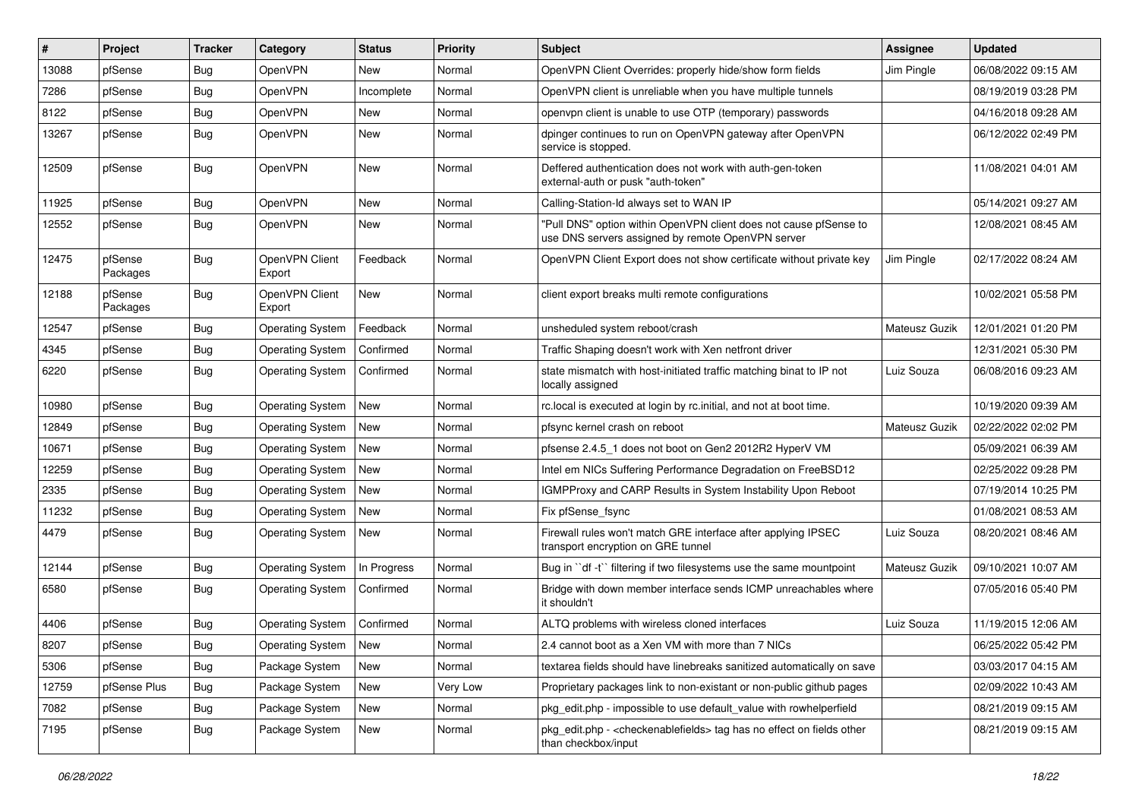| ∦     | Project             | <b>Tracker</b> | Category                 | <b>Status</b> | <b>Priority</b> | <b>Subject</b>                                                                                                         | Assignee      | <b>Updated</b>      |
|-------|---------------------|----------------|--------------------------|---------------|-----------------|------------------------------------------------------------------------------------------------------------------------|---------------|---------------------|
| 13088 | pfSense             | <b>Bug</b>     | OpenVPN                  | New           | Normal          | OpenVPN Client Overrides: properly hide/show form fields                                                               | Jim Pingle    | 06/08/2022 09:15 AM |
| 7286  | pfSense             | Bug            | <b>OpenVPN</b>           | Incomplete    | Normal          | OpenVPN client is unreliable when you have multiple tunnels                                                            |               | 08/19/2019 03:28 PM |
| 8122  | pfSense             | <b>Bug</b>     | <b>OpenVPN</b>           | New           | Normal          | openvpn client is unable to use OTP (temporary) passwords                                                              |               | 04/16/2018 09:28 AM |
| 13267 | pfSense             | <b>Bug</b>     | OpenVPN                  | <b>New</b>    | Normal          | dpinger continues to run on OpenVPN gateway after OpenVPN<br>service is stopped.                                       |               | 06/12/2022 02:49 PM |
| 12509 | pfSense             | <b>Bug</b>     | OpenVPN                  | <b>New</b>    | Normal          | Deffered authentication does not work with auth-gen-token<br>external-auth or pusk "auth-token"                        |               | 11/08/2021 04:01 AM |
| 11925 | pfSense             | <b>Bug</b>     | OpenVPN                  | <b>New</b>    | Normal          | Calling-Station-Id always set to WAN IP                                                                                |               | 05/14/2021 09:27 AM |
| 12552 | pfSense             | <b>Bug</b>     | <b>OpenVPN</b>           | New           | Normal          | "Pull DNS" option within OpenVPN client does not cause pfSense to<br>use DNS servers assigned by remote OpenVPN server |               | 12/08/2021 08:45 AM |
| 12475 | pfSense<br>Packages | Bug            | OpenVPN Client<br>Export | Feedback      | Normal          | OpenVPN Client Export does not show certificate without private key                                                    | Jim Pingle    | 02/17/2022 08:24 AM |
| 12188 | pfSense<br>Packages | <b>Bug</b>     | OpenVPN Client<br>Export | <b>New</b>    | Normal          | client export breaks multi remote configurations                                                                       |               | 10/02/2021 05:58 PM |
| 12547 | pfSense             | Bug            | <b>Operating System</b>  | Feedback      | Normal          | unsheduled system reboot/crash                                                                                         | Mateusz Guzik | 12/01/2021 01:20 PM |
| 4345  | pfSense             | <b>Bug</b>     | <b>Operating System</b>  | Confirmed     | Normal          | Traffic Shaping doesn't work with Xen netfront driver                                                                  |               | 12/31/2021 05:30 PM |
| 6220  | pfSense             | <b>Bug</b>     | <b>Operating System</b>  | Confirmed     | Normal          | state mismatch with host-initiated traffic matching binat to IP not<br>locally assigned                                | Luiz Souza    | 06/08/2016 09:23 AM |
| 10980 | pfSense             | <b>Bug</b>     | <b>Operating System</b>  | <b>New</b>    | Normal          | rc.local is executed at login by rc.initial, and not at boot time.                                                     |               | 10/19/2020 09:39 AM |
| 12849 | pfSense             | <b>Bug</b>     | Operating System         | New           | Normal          | pfsync kernel crash on reboot                                                                                          | Mateusz Guzik | 02/22/2022 02:02 PM |
| 10671 | pfSense             | <b>Bug</b>     | <b>Operating System</b>  | <b>New</b>    | Normal          | pfsense 2.4.5_1 does not boot on Gen2 2012R2 HyperV VM                                                                 |               | 05/09/2021 06:39 AM |
| 12259 | pfSense             | <b>Bug</b>     | <b>Operating System</b>  | New           | Normal          | Intel em NICs Suffering Performance Degradation on FreeBSD12                                                           |               | 02/25/2022 09:28 PM |
| 2335  | pfSense             | <b>Bug</b>     | <b>Operating System</b>  | New           | Normal          | IGMPProxy and CARP Results in System Instability Upon Reboot                                                           |               | 07/19/2014 10:25 PM |
| 11232 | pfSense             | <b>Bug</b>     | <b>Operating System</b>  | <b>New</b>    | Normal          | Fix pfSense fsync                                                                                                      |               | 01/08/2021 08:53 AM |
| 4479  | pfSense             | <b>Bug</b>     | <b>Operating System</b>  | New           | Normal          | Firewall rules won't match GRE interface after applying IPSEC<br>transport encryption on GRE tunnel                    | Luiz Souza    | 08/20/2021 08:46 AM |
| 12144 | pfSense             | <b>Bug</b>     | <b>Operating System</b>  | In Progress   | Normal          | Bug in "df -t" filtering if two filesystems use the same mountpoint                                                    | Mateusz Guzik | 09/10/2021 10:07 AM |
| 6580  | pfSense             | <b>Bug</b>     | <b>Operating System</b>  | Confirmed     | Normal          | Bridge with down member interface sends ICMP unreachables where<br>it shouldn't                                        |               | 07/05/2016 05:40 PM |
| 4406  | pfSense             | <b>Bug</b>     | <b>Operating System</b>  | Confirmed     | Normal          | ALTQ problems with wireless cloned interfaces                                                                          | Luiz Souza    | 11/19/2015 12:06 AM |
| 8207  | pfSense             | Bug            | Operating System   New   |               | Normal          | 2.4 cannot boot as a Xen VM with more than 7 NICs                                                                      |               | 06/25/2022 05:42 PM |
| 5306  | pfSense             | <b>Bug</b>     | Package System           | New           | Normal          | textarea fields should have linebreaks sanitized automatically on save                                                 |               | 03/03/2017 04:15 AM |
| 12759 | pfSense Plus        | <b>Bug</b>     | Package System           | New           | Very Low        | Proprietary packages link to non-existant or non-public github pages                                                   |               | 02/09/2022 10:43 AM |
| 7082  | pfSense             | Bug            | Package System           | New           | Normal          | pkg_edit.php - impossible to use default_value with rowhelperfield                                                     |               | 08/21/2019 09:15 AM |
| 7195  | pfSense             | <b>Bug</b>     | Package System           | New           | Normal          | pkg_edit.php - < checkenablefields> tag has no effect on fields other<br>than checkbox/input                           |               | 08/21/2019 09:15 AM |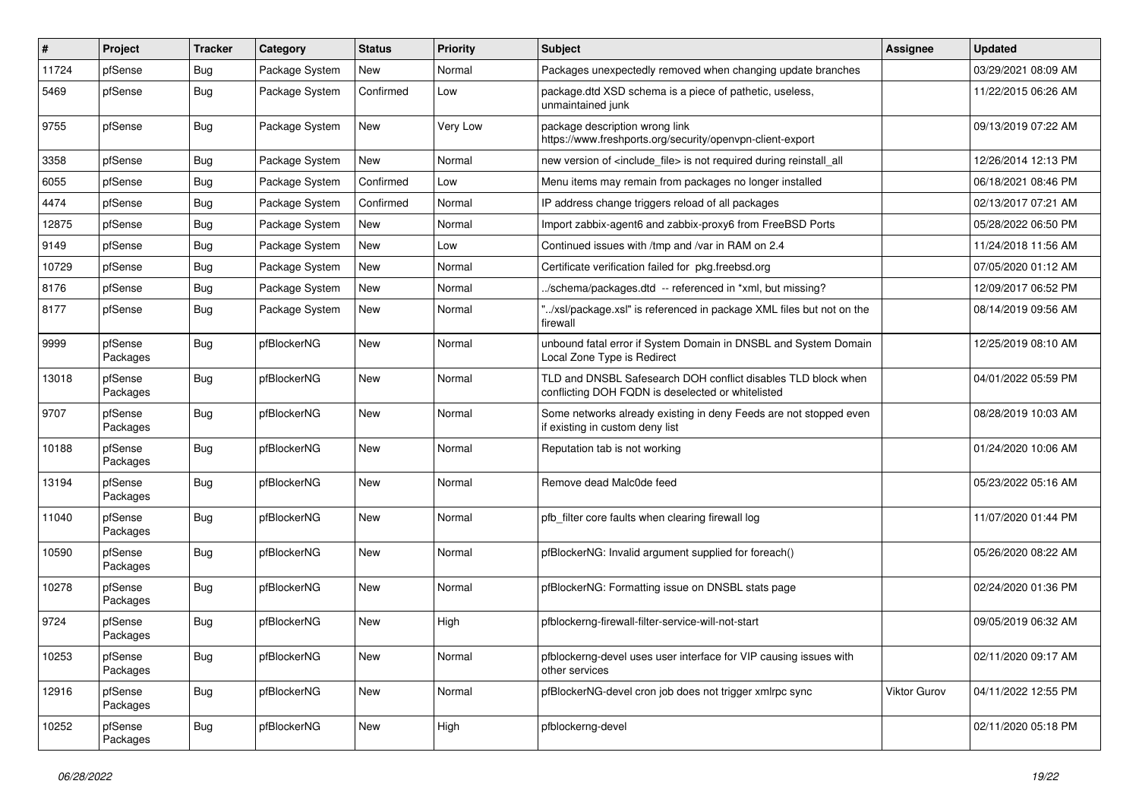| $\pmb{\#}$ | Project             | <b>Tracker</b> | Category       | <b>Status</b> | Priority | <b>Subject</b>                                                                                                     | <b>Assignee</b> | <b>Updated</b>      |
|------------|---------------------|----------------|----------------|---------------|----------|--------------------------------------------------------------------------------------------------------------------|-----------------|---------------------|
| 11724      | pfSense             | <b>Bug</b>     | Package System | New           | Normal   | Packages unexpectedly removed when changing update branches                                                        |                 | 03/29/2021 08:09 AM |
| 5469       | pfSense             | <b>Bug</b>     | Package System | Confirmed     | Low      | package.dtd XSD schema is a piece of pathetic, useless,<br>unmaintained junk                                       |                 | 11/22/2015 06:26 AM |
| 9755       | pfSense             | <b>Bug</b>     | Package System | New           | Very Low | package description wrong link<br>https://www.freshports.org/security/openvpn-client-export                        |                 | 09/13/2019 07:22 AM |
| 3358       | pfSense             | Bug            | Package System | <b>New</b>    | Normal   | new version of <include file=""> is not required during reinstall all</include>                                    |                 | 12/26/2014 12:13 PM |
| 6055       | pfSense             | <b>Bug</b>     | Package System | Confirmed     | Low      | Menu items may remain from packages no longer installed                                                            |                 | 06/18/2021 08:46 PM |
| 4474       | pfSense             | <b>Bug</b>     | Package System | Confirmed     | Normal   | IP address change triggers reload of all packages                                                                  |                 | 02/13/2017 07:21 AM |
| 12875      | pfSense             | <b>Bug</b>     | Package System | New           | Normal   | Import zabbix-agent6 and zabbix-proxy6 from FreeBSD Ports                                                          |                 | 05/28/2022 06:50 PM |
| 9149       | pfSense             | <b>Bug</b>     | Package System | <b>New</b>    | Low      | Continued issues with /tmp and /var in RAM on 2.4                                                                  |                 | 11/24/2018 11:56 AM |
| 10729      | pfSense             | <b>Bug</b>     | Package System | New           | Normal   | Certificate verification failed for pkg.freebsd.org                                                                |                 | 07/05/2020 01:12 AM |
| 8176       | pfSense             | <b>Bug</b>     | Package System | New           | Normal   | ./schema/packages.dtd -- referenced in *xml, but missing?                                                          |                 | 12/09/2017 06:52 PM |
| 8177       | pfSense             | <b>Bug</b>     | Package System | <b>New</b>    | Normal   | "/xsl/package.xsl" is referenced in package XML files but not on the<br>firewall                                   |                 | 08/14/2019 09:56 AM |
| 9999       | pfSense<br>Packages | <b>Bug</b>     | pfBlockerNG    | New           | Normal   | unbound fatal error if System Domain in DNSBL and System Domain<br>Local Zone Type is Redirect                     |                 | 12/25/2019 08:10 AM |
| 13018      | pfSense<br>Packages | <b>Bug</b>     | pfBlockerNG    | New           | Normal   | TLD and DNSBL Safesearch DOH conflict disables TLD block when<br>conflicting DOH FQDN is deselected or whitelisted |                 | 04/01/2022 05:59 PM |
| 9707       | pfSense<br>Packages | Bug            | pfBlockerNG    | New           | Normal   | Some networks already existing in deny Feeds are not stopped even<br>if existing in custom deny list               |                 | 08/28/2019 10:03 AM |
| 10188      | pfSense<br>Packages | <b>Bug</b>     | pfBlockerNG    | New           | Normal   | Reputation tab is not working                                                                                      |                 | 01/24/2020 10:06 AM |
| 13194      | pfSense<br>Packages | <b>Bug</b>     | pfBlockerNG    | New           | Normal   | Remove dead Malc0de feed                                                                                           |                 | 05/23/2022 05:16 AM |
| 11040      | pfSense<br>Packages | <b>Bug</b>     | pfBlockerNG    | <b>New</b>    | Normal   | pfb_filter core faults when clearing firewall log                                                                  |                 | 11/07/2020 01:44 PM |
| 10590      | pfSense<br>Packages | Bug            | pfBlockerNG    | <b>New</b>    | Normal   | pfBlockerNG: Invalid argument supplied for foreach()                                                               |                 | 05/26/2020 08:22 AM |
| 10278      | pfSense<br>Packages | <b>Bug</b>     | pfBlockerNG    | <b>New</b>    | Normal   | pfBlockerNG: Formatting issue on DNSBL stats page                                                                  |                 | 02/24/2020 01:36 PM |
| 9724       | pfSense<br>Packages | <b>Bug</b>     | pfBlockerNG    | New           | High     | pfblockerng-firewall-filter-service-will-not-start                                                                 |                 | 09/05/2019 06:32 AM |
| 10253      | pfSense<br>Packages | <b>Bug</b>     | pfBlockerNG    | New           | Normal   | pfblockerng-devel uses user interface for VIP causing issues with<br>other services                                |                 | 02/11/2020 09:17 AM |
| 12916      | pfSense<br>Packages | <b>Bug</b>     | pfBlockerNG    | New           | Normal   | pfBlockerNG-devel cron job does not trigger xmlrpc sync                                                            | Viktor Gurov    | 04/11/2022 12:55 PM |
| 10252      | pfSense<br>Packages | <b>Bug</b>     | pfBlockerNG    | New           | High     | pfblockerng-devel                                                                                                  |                 | 02/11/2020 05:18 PM |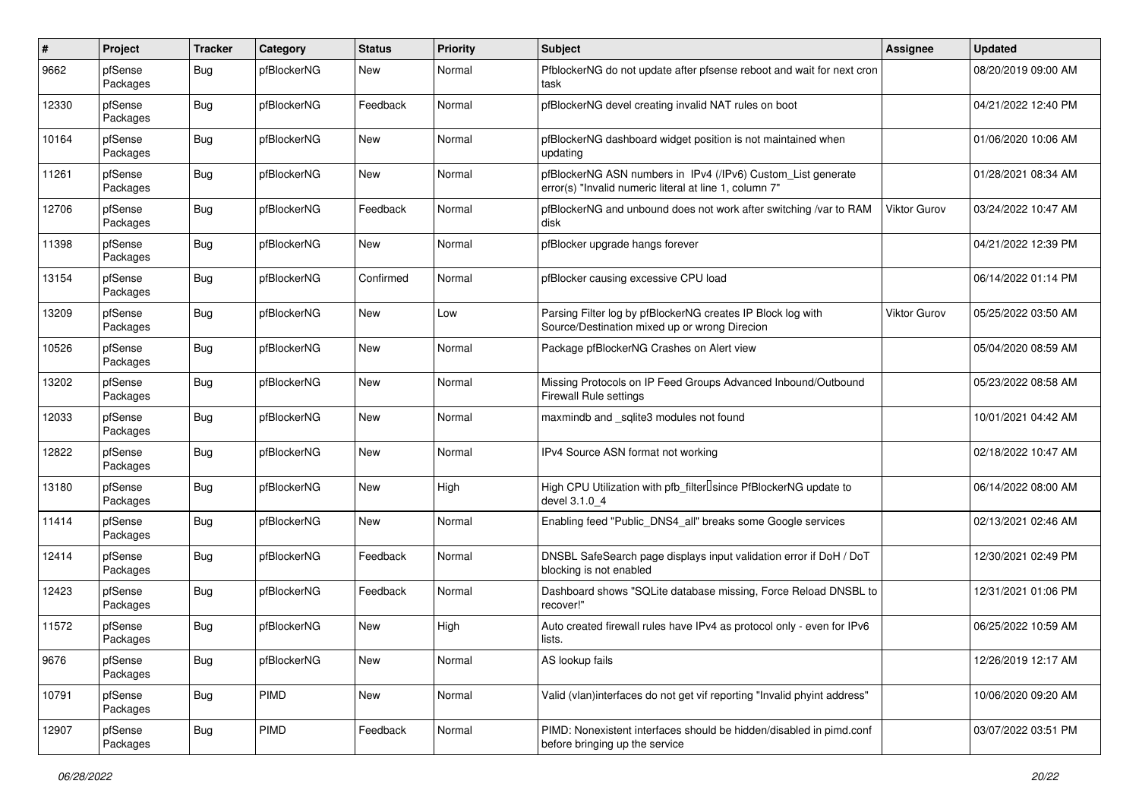| $\#$  | Project             | <b>Tracker</b> | Category    | <b>Status</b> | <b>Priority</b> | Subject                                                                                                                | <b>Assignee</b>     | <b>Updated</b>      |
|-------|---------------------|----------------|-------------|---------------|-----------------|------------------------------------------------------------------------------------------------------------------------|---------------------|---------------------|
| 9662  | pfSense<br>Packages | Bug            | pfBlockerNG | New           | Normal          | PfblockerNG do not update after pfsense reboot and wait for next cron<br>task                                          |                     | 08/20/2019 09:00 AM |
| 12330 | pfSense<br>Packages | Bug            | pfBlockerNG | Feedback      | Normal          | pfBlockerNG devel creating invalid NAT rules on boot                                                                   |                     | 04/21/2022 12:40 PM |
| 10164 | pfSense<br>Packages | <b>Bug</b>     | pfBlockerNG | New           | Normal          | pfBlockerNG dashboard widget position is not maintained when<br>updating                                               |                     | 01/06/2020 10:06 AM |
| 11261 | pfSense<br>Packages | Bug            | pfBlockerNG | New           | Normal          | pfBlockerNG ASN numbers in IPv4 (/IPv6) Custom_List generate<br>error(s) "Invalid numeric literal at line 1, column 7" |                     | 01/28/2021 08:34 AM |
| 12706 | pfSense<br>Packages | Bug            | pfBlockerNG | Feedback      | Normal          | pfBlockerNG and unbound does not work after switching /var to RAM<br>disk                                              | <b>Viktor Gurov</b> | 03/24/2022 10:47 AM |
| 11398 | pfSense<br>Packages | Bug            | pfBlockerNG | New           | Normal          | pfBlocker upgrade hangs forever                                                                                        |                     | 04/21/2022 12:39 PM |
| 13154 | pfSense<br>Packages | Bug            | pfBlockerNG | Confirmed     | Normal          | pfBlocker causing excessive CPU load                                                                                   |                     | 06/14/2022 01:14 PM |
| 13209 | pfSense<br>Packages | Bug            | pfBlockerNG | New           | Low             | Parsing Filter log by pfBlockerNG creates IP Block log with<br>Source/Destination mixed up or wrong Direcion           | <b>Viktor Gurov</b> | 05/25/2022 03:50 AM |
| 10526 | pfSense<br>Packages | Bug            | pfBlockerNG | <b>New</b>    | Normal          | Package pfBlockerNG Crashes on Alert view                                                                              |                     | 05/04/2020 08:59 AM |
| 13202 | pfSense<br>Packages | <b>Bug</b>     | pfBlockerNG | <b>New</b>    | Normal          | Missing Protocols on IP Feed Groups Advanced Inbound/Outbound<br><b>Firewall Rule settings</b>                         |                     | 05/23/2022 08:58 AM |
| 12033 | pfSense<br>Packages | Bug            | pfBlockerNG | New           | Normal          | maxmindb and _sqlite3 modules not found                                                                                |                     | 10/01/2021 04:42 AM |
| 12822 | pfSense<br>Packages | Bug            | pfBlockerNG | New           | Normal          | IPv4 Source ASN format not working                                                                                     |                     | 02/18/2022 10:47 AM |
| 13180 | pfSense<br>Packages | Bug            | pfBlockerNG | New           | High            | High CPU Utilization with pfb_filter <sup>[]</sup> since PfBlockerNG update to<br>devel 3.1.0 4                        |                     | 06/14/2022 08:00 AM |
| 11414 | pfSense<br>Packages | <b>Bug</b>     | pfBlockerNG | New           | Normal          | Enabling feed "Public_DNS4_all" breaks some Google services                                                            |                     | 02/13/2021 02:46 AM |
| 12414 | pfSense<br>Packages | Bug            | pfBlockerNG | Feedback      | Normal          | DNSBL SafeSearch page displays input validation error if DoH / DoT<br>blocking is not enabled                          |                     | 12/30/2021 02:49 PM |
| 12423 | pfSense<br>Packages | Bug            | pfBlockerNG | Feedback      | Normal          | Dashboard shows "SQLite database missing, Force Reload DNSBL to<br>recover!"                                           |                     | 12/31/2021 01:06 PM |
| 11572 | pfSense<br>Packages | <b>Bug</b>     | pfBlockerNG | New           | High            | Auto created firewall rules have IPv4 as protocol only - even for IPv6<br>lists.                                       |                     | 06/25/2022 10:59 AM |
| 9676  | pfSense<br>Packages | <b>Bug</b>     | pfBlockerNG | New           | Normal          | AS lookup fails                                                                                                        |                     | 12/26/2019 12:17 AM |
| 10791 | pfSense<br>Packages | <b>Bug</b>     | PIMD        | New           | Normal          | Valid (vlan)interfaces do not get vif reporting "Invalid phyint address"                                               |                     | 10/06/2020 09:20 AM |
| 12907 | pfSense<br>Packages | <b>Bug</b>     | <b>PIMD</b> | Feedback      | Normal          | PIMD: Nonexistent interfaces should be hidden/disabled in pimd.conf<br>before bringing up the service                  |                     | 03/07/2022 03:51 PM |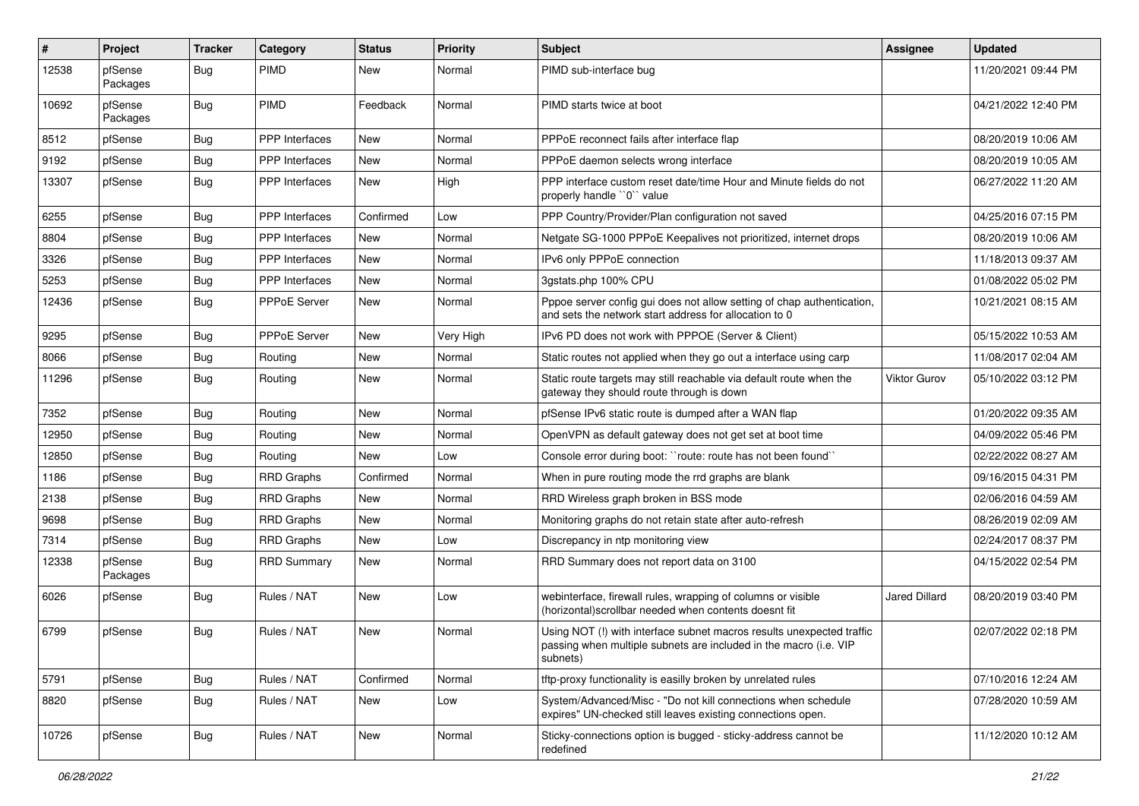| ∦     | <b>Project</b>      | <b>Tracker</b> | Category              | <b>Status</b> | <b>Priority</b> | Subject                                                                                                                                                | <b>Assignee</b> | <b>Updated</b>      |
|-------|---------------------|----------------|-----------------------|---------------|-----------------|--------------------------------------------------------------------------------------------------------------------------------------------------------|-----------------|---------------------|
| 12538 | pfSense<br>Packages | <b>Bug</b>     | <b>PIMD</b>           | New           | Normal          | PIMD sub-interface bug                                                                                                                                 |                 | 11/20/2021 09:44 PM |
| 10692 | pfSense<br>Packages | <b>Bug</b>     | <b>PIMD</b>           | Feedback      | Normal          | PIMD starts twice at boot                                                                                                                              |                 | 04/21/2022 12:40 PM |
| 8512  | pfSense             | <b>Bug</b>     | PPP Interfaces        | <b>New</b>    | Normal          | PPPoE reconnect fails after interface flap                                                                                                             |                 | 08/20/2019 10:06 AM |
| 9192  | pfSense             | <b>Bug</b>     | PPP Interfaces        | New           | Normal          | PPPoE daemon selects wrong interface                                                                                                                   |                 | 08/20/2019 10:05 AM |
| 13307 | pfSense             | <b>Bug</b>     | <b>PPP</b> Interfaces | <b>New</b>    | High            | PPP interface custom reset date/time Hour and Minute fields do not<br>properly handle "0" value                                                        |                 | 06/27/2022 11:20 AM |
| 6255  | pfSense             | Bug            | <b>PPP</b> Interfaces | Confirmed     | Low             | PPP Country/Provider/Plan configuration not saved                                                                                                      |                 | 04/25/2016 07:15 PM |
| 8804  | pfSense             | <b>Bug</b>     | PPP Interfaces        | <b>New</b>    | Normal          | Netgate SG-1000 PPPoE Keepalives not prioritized, internet drops                                                                                       |                 | 08/20/2019 10:06 AM |
| 3326  | pfSense             | <b>Bug</b>     | <b>PPP</b> Interfaces | New           | Normal          | IPv6 only PPPoE connection                                                                                                                             |                 | 11/18/2013 09:37 AM |
| 5253  | pfSense             | <b>Bug</b>     | <b>PPP</b> Interfaces | New           | Normal          | 3gstats.php 100% CPU                                                                                                                                   |                 | 01/08/2022 05:02 PM |
| 12436 | pfSense             | <b>Bug</b>     | PPPoE Server          | <b>New</b>    | Normal          | Pppoe server config gui does not allow setting of chap authentication,<br>and sets the network start address for allocation to 0                       |                 | 10/21/2021 08:15 AM |
| 9295  | pfSense             | <b>Bug</b>     | <b>PPPoE Server</b>   | <b>New</b>    | Very High       | IPv6 PD does not work with PPPOE (Server & Client)                                                                                                     |                 | 05/15/2022 10:53 AM |
| 8066  | pfSense             | Bug            | Routing               | New           | Normal          | Static routes not applied when they go out a interface using carp                                                                                      |                 | 11/08/2017 02:04 AM |
| 11296 | pfSense             | <b>Bug</b>     | Routing               | <b>New</b>    | Normal          | Static route targets may still reachable via default route when the<br>gateway they should route through is down                                       | Viktor Gurov    | 05/10/2022 03:12 PM |
| 7352  | pfSense             | <b>Bug</b>     | Routing               | New           | Normal          | pfSense IPv6 static route is dumped after a WAN flap                                                                                                   |                 | 01/20/2022 09:35 AM |
| 12950 | pfSense             | <b>Bug</b>     | Routing               | New           | Normal          | OpenVPN as default gateway does not get set at boot time                                                                                               |                 | 04/09/2022 05:46 PM |
| 12850 | pfSense             | Bug            | Routing               | <b>New</b>    | Low             | Console error during boot: "route: route has not been found"                                                                                           |                 | 02/22/2022 08:27 AM |
| 1186  | pfSense             | <b>Bug</b>     | <b>RRD Graphs</b>     | Confirmed     | Normal          | When in pure routing mode the rrd graphs are blank                                                                                                     |                 | 09/16/2015 04:31 PM |
| 2138  | pfSense             | <b>Bug</b>     | <b>RRD Graphs</b>     | <b>New</b>    | Normal          | RRD Wireless graph broken in BSS mode                                                                                                                  |                 | 02/06/2016 04:59 AM |
| 9698  | pfSense             | Bug            | <b>RRD Graphs</b>     | New           | Normal          | Monitoring graphs do not retain state after auto-refresh                                                                                               |                 | 08/26/2019 02:09 AM |
| 7314  | pfSense             | <b>Bug</b>     | <b>RRD Graphs</b>     | New           | Low             | Discrepancy in ntp monitoring view                                                                                                                     |                 | 02/24/2017 08:37 PM |
| 12338 | pfSense<br>Packages | <b>Bug</b>     | <b>RRD Summary</b>    | New           | Normal          | RRD Summary does not report data on 3100                                                                                                               |                 | 04/15/2022 02:54 PM |
| 6026  | pfSense             | Bug            | Rules / NAT           | New           | Low             | webinterface, firewall rules, wrapping of columns or visible<br>(horizontal) scrollbar needed when contents doesnt fit                                 | Jared Dillard   | 08/20/2019 03:40 PM |
| 6799  | pfSense             | Bug            | Rules / NAT           | New           | Normal          | Using NOT (!) with interface subnet macros results unexpected traffic<br>passing when multiple subnets are included in the macro (i.e. VIP<br>subnets) |                 | 02/07/2022 02:18 PM |
| 5791  | pfSense             | <b>Bug</b>     | Rules / NAT           | Confirmed     | Normal          | tftp-proxy functionality is easilly broken by unrelated rules                                                                                          |                 | 07/10/2016 12:24 AM |
| 8820  | pfSense             | <b>Bug</b>     | Rules / NAT           | New           | Low             | System/Advanced/Misc - "Do not kill connections when schedule<br>expires" UN-checked still leaves existing connections open.                           |                 | 07/28/2020 10:59 AM |
| 10726 | pfSense             | Bug            | Rules / NAT           | New           | Normal          | Sticky-connections option is bugged - sticky-address cannot be<br>redefined                                                                            |                 | 11/12/2020 10:12 AM |